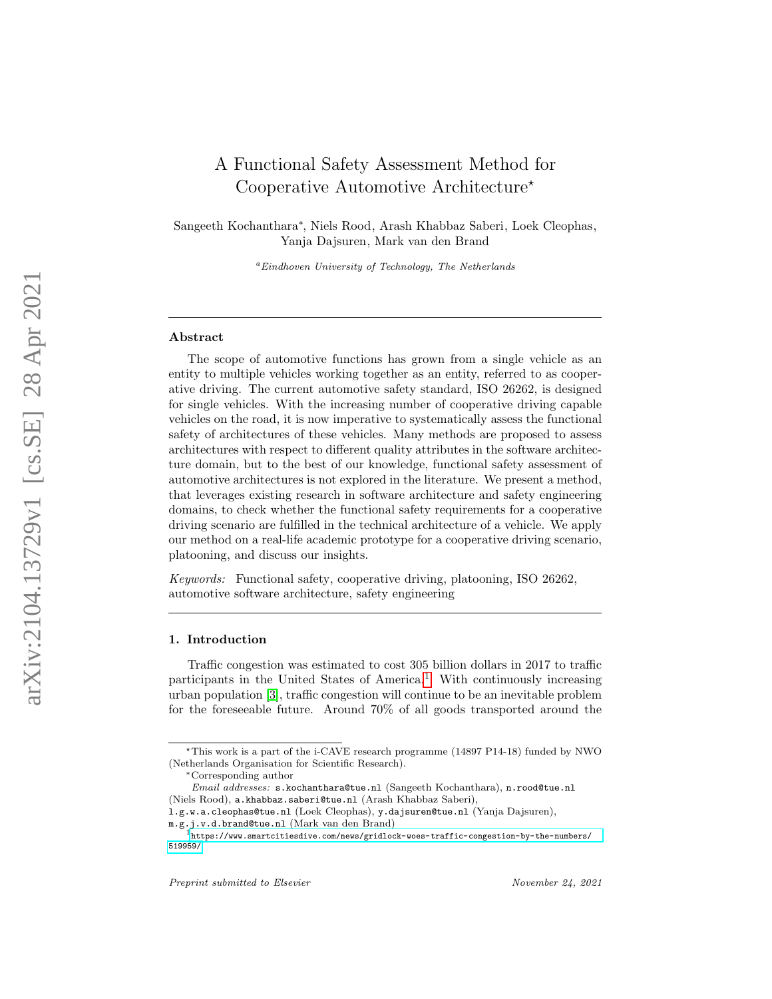# A Functional Safety Assessment Method for Cooperative Automotive Architecture\*

Sangeeth Kochanthara ∗ , Niels Rood, Arash Khabbaz Saberi, Loek Cleophas, Yanja Dajsuren, Mark van den Brand

 ${}^a$ Eindhoven University of Technology, The Netherlands

#### Abstract

The scope of automotive functions has grown from a single vehicle as an entity to multiple vehicles working together as an entity, referred to as cooperative driving. The current automotive safety standard, ISO 26262, is designed for single vehicles. With the increasing number of cooperative driving capable vehicles on the road, it is now imperative to systematically assess the functional safety of architectures of these vehicles. Many methods are proposed to assess architectures with respect to different quality attributes in the software architecture domain, but to the best of our knowledge, functional safety assessment of automotive architectures is not explored in the literature. We present a method, that leverages existing research in software architecture and safety engineering domains, to check whether the functional safety requirements for a cooperative driving scenario are fulfilled in the technical architecture of a vehicle. We apply our method on a real-life academic prototype for a cooperative driving scenario, platooning, and discuss our insights.

Keywords: Functional safety, cooperative driving, platooning, ISO 26262, automotive software architecture, safety engineering

## 1. Introduction

Traffic congestion was estimated to cost 305 billion dollars in 2017 to traffic participants in the United States of America. [1](#page-0-0) With continuously increasing urban population [\[3\]](#page-25-0), traffic congestion will continue to be an inevitable problem for the foreseeable future. Around 70% of all goods transported around the

<sup>?</sup>This work is a part of the i-CAVE research programme (14897 P14-18) funded by NWO (Netherlands Organisation for Scientific Research).

<sup>∗</sup>Corresponding author

Email addresses: s.kochanthara@tue.nl (Sangeeth Kochanthara), n.rood@tue.nl (Niels Rood), a.khabbaz.saberi@tue.nl (Arash Khabbaz Saberi),

l.g.w.a.cleophas@tue.nl (Loek Cleophas), y.dajsuren@tue.nl (Yanja Dajsuren),

 $\mathtt{m.g. j.v.d. brand@tue.nl}$  (Mark van den Brand)

<span id="page-0-0"></span> $^{\rm l}$ [https://www.smartcitiesdive.com/news/gridlock-woes-traffic-congestion-by-the-numbers/](https://www.smartcitiesdive.com/news/gridlock-woes-traffic-congestion-by-the-numbers/519959/) [519959/](https://www.smartcitiesdive.com/news/gridlock-woes-traffic-congestion-by-the-numbers/519959/)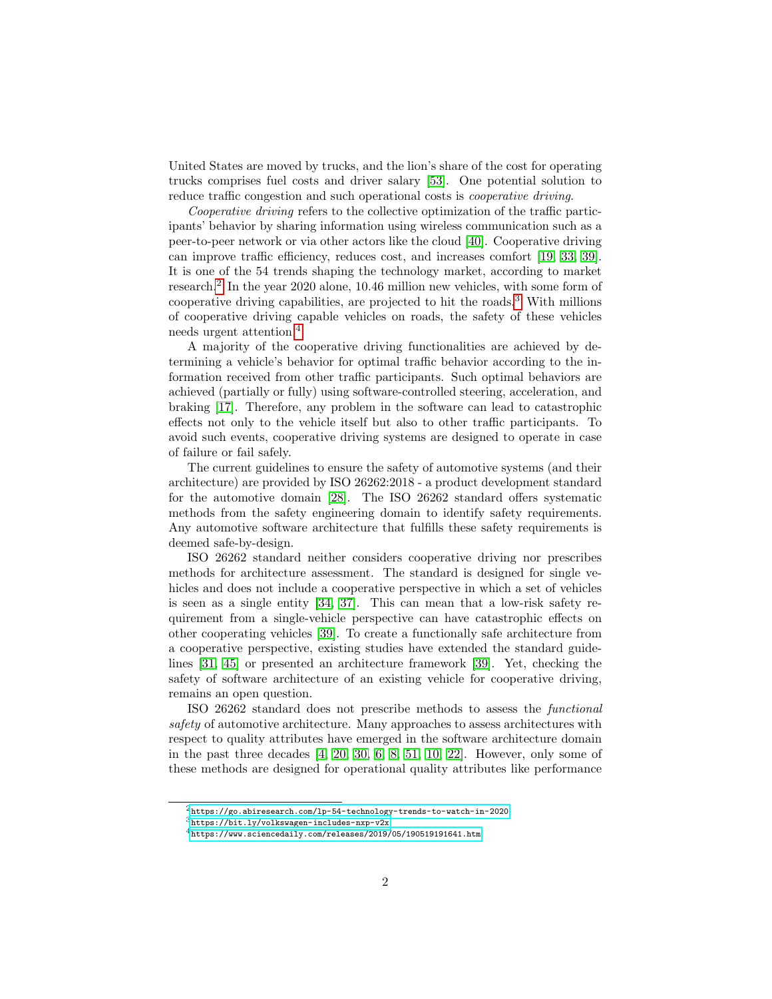United States are moved by trucks, and the lion's share of the cost for operating trucks comprises fuel costs and driver salary [\[53\]](#page-28-0). One potential solution to reduce traffic congestion and such operational costs is *cooperative driving*.

Cooperative driving refers to the collective optimization of the traffic participants' behavior by sharing information using wireless communication such as a peer-to-peer network or via other actors like the cloud [\[40\]](#page-28-1). Cooperative driving can improve traffic efficiency, reduces cost, and increases comfort [\[19,](#page-26-0) [33,](#page-27-0) [39\]](#page-28-2). It is one of the 54 trends shaping the technology market, according to market research.[2](#page-1-0) In the year 2020 alone, 10.46 million new vehicles, with some form of cooperative driving capabilities, are projected to hit the roads.[3](#page-1-1) With millions of cooperative driving capable vehicles on roads, the safety of these vehicles needs urgent attention.[4](#page-1-2)

A majority of the cooperative driving functionalities are achieved by determining a vehicle's behavior for optimal traffic behavior according to the information received from other traffic participants. Such optimal behaviors are achieved (partially or fully) using software-controlled steering, acceleration, and braking [\[17\]](#page-26-1). Therefore, any problem in the software can lead to catastrophic effects not only to the vehicle itself but also to other traffic participants. To avoid such events, cooperative driving systems are designed to operate in case of failure or fail safely.

The current guidelines to ensure the safety of automotive systems (and their architecture) are provided by ISO 26262:2018 - a product development standard for the automotive domain [\[28\]](#page-27-1). The ISO 26262 standard offers systematic methods from the safety engineering domain to identify safety requirements. Any automotive software architecture that fulfills these safety requirements is deemed safe-by-design.

ISO 26262 standard neither considers cooperative driving nor prescribes methods for architecture assessment. The standard is designed for single vehicles and does not include a cooperative perspective in which a set of vehicles is seen as a single entity [\[34,](#page-27-2) [37\]](#page-27-3). This can mean that a low-risk safety requirement from a single-vehicle perspective can have catastrophic effects on other cooperating vehicles [\[39\]](#page-28-2). To create a functionally safe architecture from a cooperative perspective, existing studies have extended the standard guidelines [\[31,](#page-27-4) [45\]](#page-28-3) or presented an architecture framework [\[39\]](#page-28-2). Yet, checking the safety of software architecture of an existing vehicle for cooperative driving, remains an open question.

ISO 26262 standard does not prescribe methods to assess the functional safety of automotive architecture. Many approaches to assess architectures with respect to quality attributes have emerged in the software architecture domain in the past three decades  $[4, 20, 30, 6, 8, 51, 10, 22]$  $[4, 20, 30, 6, 8, 51, 10, 22]$  $[4, 20, 30, 6, 8, 51, 10, 22]$  $[4, 20, 30, 6, 8, 51, 10, 22]$  $[4, 20, 30, 6, 8, 51, 10, 22]$  $[4, 20, 30, 6, 8, 51, 10, 22]$  $[4, 20, 30, 6, 8, 51, 10, 22]$  $[4, 20, 30, 6, 8, 51, 10, 22]$ . However, only some of these methods are designed for operational quality attributes like performance

<span id="page-1-0"></span> $^2$ https://go.abiresearch.com/1p-54-technology-trends-to-watch-in-2020

<span id="page-1-1"></span><sup>3</sup> <https://bit.ly/volkswagen-includes-nxp-v2x>

<span id="page-1-2"></span> $^4$ <https://www.sciencedaily.com/releases/2019/05/190519191641.htm>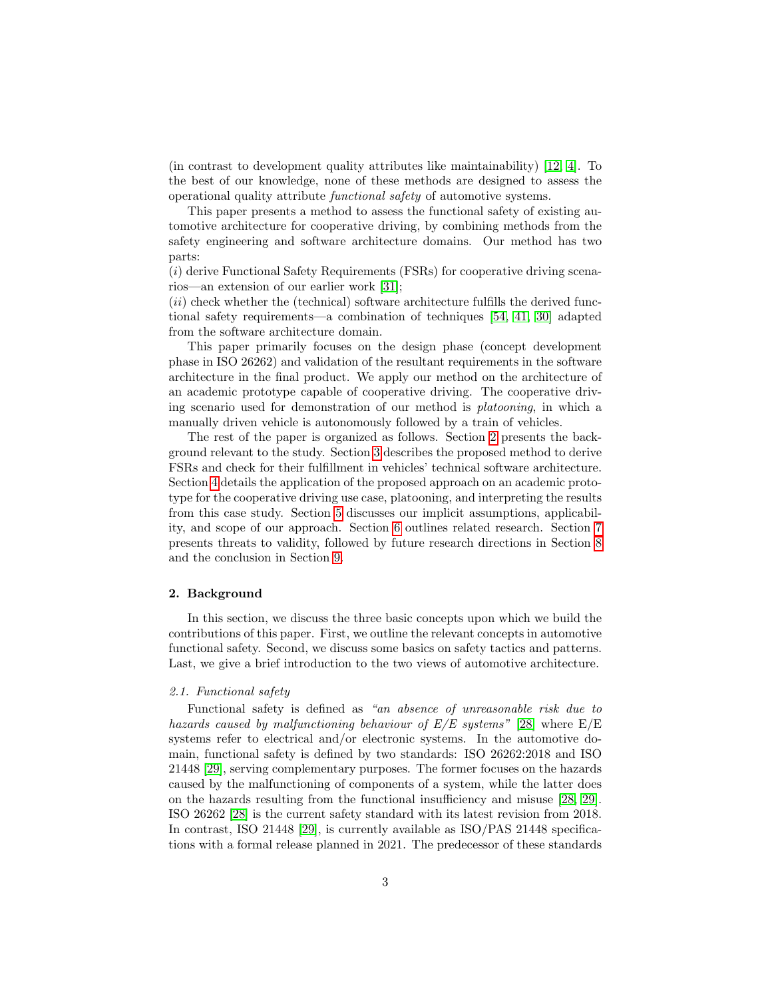(in contrast to development quality attributes like maintainability) [\[12,](#page-26-4) [4\]](#page-25-1). To the best of our knowledge, none of these methods are designed to assess the operational quality attribute functional safety of automotive systems.

This paper presents a method to assess the functional safety of existing automotive architecture for cooperative driving, by combining methods from the safety engineering and software architecture domains. Our method has two parts:

 $(i)$  derive Functional Safety Requirements (FSRs) for cooperative driving scenarios—an extension of our earlier work [\[31\]](#page-27-4);

 $(ii)$  check whether the (technical) software architecture fulfills the derived functional safety requirements—a combination of techniques [\[54,](#page-29-0) [41,](#page-28-5) [30\]](#page-27-5) adapted from the software architecture domain.

This paper primarily focuses on the design phase (concept development phase in ISO 26262) and validation of the resultant requirements in the software architecture in the final product. We apply our method on the architecture of an academic prototype capable of cooperative driving. The cooperative driving scenario used for demonstration of our method is platooning, in which a manually driven vehicle is autonomously followed by a train of vehicles.

The rest of the paper is organized as follows. Section [2](#page-2-0) presents the background relevant to the study. Section [3](#page-5-0) describes the proposed method to derive FSRs and check for their fulfillment in vehicles' technical software architecture. Section [4](#page-11-0) details the application of the proposed approach on an academic prototype for the cooperative driving use case, platooning, and interpreting the results from this case study. Section [5](#page-19-0) discusses our implicit assumptions, applicability, and scope of our approach. Section [6](#page-21-0) outlines related research. Section [7](#page-23-0) presents threats to validity, followed by future research directions in Section [8](#page-24-0) and the conclusion in Section [9.](#page-24-1)

#### <span id="page-2-0"></span>2. Background

In this section, we discuss the three basic concepts upon which we build the contributions of this paper. First, we outline the relevant concepts in automotive functional safety. Second, we discuss some basics on safety tactics and patterns. Last, we give a brief introduction to the two views of automotive architecture.

## 2.1. Functional safety

Functional safety is defined as "an absence of unreasonable risk due to hazards caused by malfunctioning behaviour of  $E/E$  systems" [\[28\]](#page-27-1) where  $E/E$ systems refer to electrical and/or electronic systems. In the automotive domain, functional safety is defined by two standards: ISO 26262:2018 and ISO 21448 [\[29\]](#page-27-6), serving complementary purposes. The former focuses on the hazards caused by the malfunctioning of components of a system, while the latter does on the hazards resulting from the functional insufficiency and misuse [\[28,](#page-27-1) [29\]](#page-27-6). ISO 26262 [\[28\]](#page-27-1) is the current safety standard with its latest revision from 2018. In contrast, ISO 21448 [\[29\]](#page-27-6), is currently available as ISO/PAS 21448 specifications with a formal release planned in 2021. The predecessor of these standards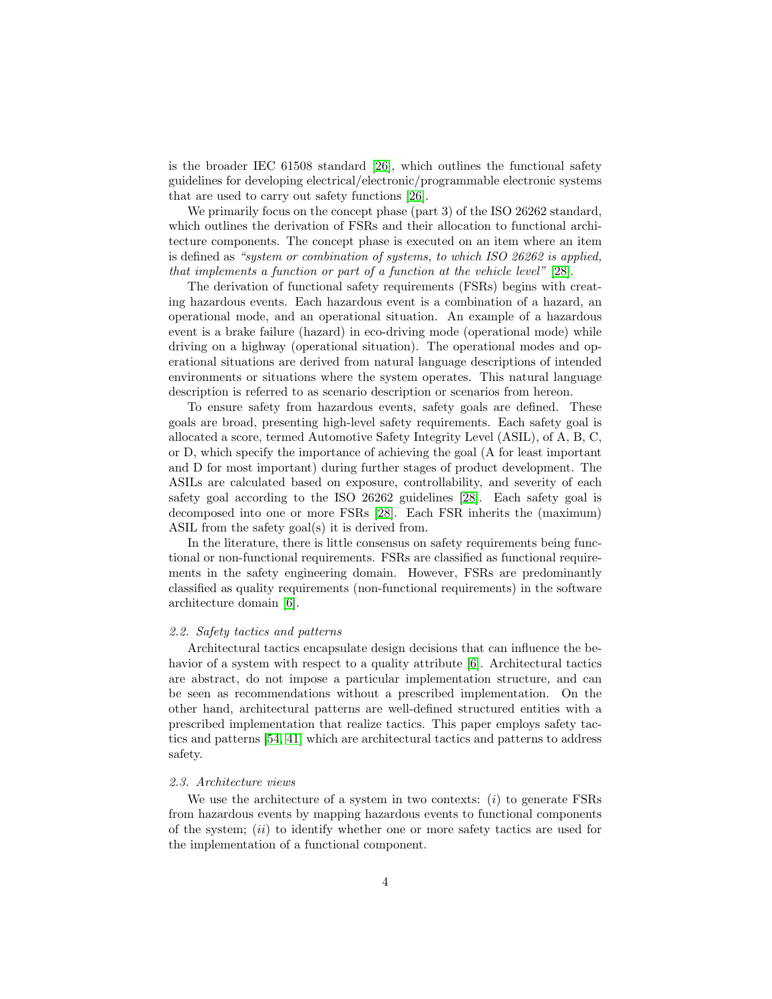is the broader IEC 61508 standard [\[26\]](#page-27-7), which outlines the functional safety guidelines for developing electrical/electronic/programmable electronic systems that are used to carry out safety functions [\[26\]](#page-27-7).

We primarily focus on the concept phase (part 3) of the ISO 26262 standard, which outlines the derivation of FSRs and their allocation to functional architecture components. The concept phase is executed on an item where an item is defined as "system or combination of systems, to which ISO 26262 is applied, that implements a function or part of a function at the vehicle level" [\[28\]](#page-27-1).

The derivation of functional safety requirements (FSRs) begins with creating hazardous events. Each hazardous event is a combination of a hazard, an operational mode, and an operational situation. An example of a hazardous event is a brake failure (hazard) in eco-driving mode (operational mode) while driving on a highway (operational situation). The operational modes and operational situations are derived from natural language descriptions of intended environments or situations where the system operates. This natural language description is referred to as scenario description or scenarios from hereon.

To ensure safety from hazardous events, safety goals are defined. These goals are broad, presenting high-level safety requirements. Each safety goal is allocated a score, termed Automotive Safety Integrity Level (ASIL), of A, B, C, or D, which specify the importance of achieving the goal (A for least important and D for most important) during further stages of product development. The ASILs are calculated based on exposure, controllability, and severity of each safety goal according to the ISO 26262 guidelines [\[28\]](#page-27-1). Each safety goal is decomposed into one or more FSRs [\[28\]](#page-27-1). Each FSR inherits the (maximum) ASIL from the safety goal(s) it is derived from.

In the literature, there is little consensus on safety requirements being functional or non-functional requirements. FSRs are classified as functional requirements in the safety engineering domain. However, FSRs are predominantly classified as quality requirements (non-functional requirements) in the software architecture domain [\[6\]](#page-25-2).

#### 2.2. Safety tactics and patterns

Architectural tactics encapsulate design decisions that can influence the behavior of a system with respect to a quality attribute  $[6]$ . Architectural tactics are abstract, do not impose a particular implementation structure, and can be seen as recommendations without a prescribed implementation. On the other hand, architectural patterns are well-defined structured entities with a prescribed implementation that realize tactics. This paper employs safety tactics and patterns [\[54,](#page-29-0) [41\]](#page-28-5) which are architectural tactics and patterns to address safety.

### 2.3. Architecture views

We use the architecture of a system in two contexts:  $(i)$  to generate FSRs from hazardous events by mapping hazardous events to functional components of the system;  $(ii)$  to identify whether one or more safety tactics are used for the implementation of a functional component.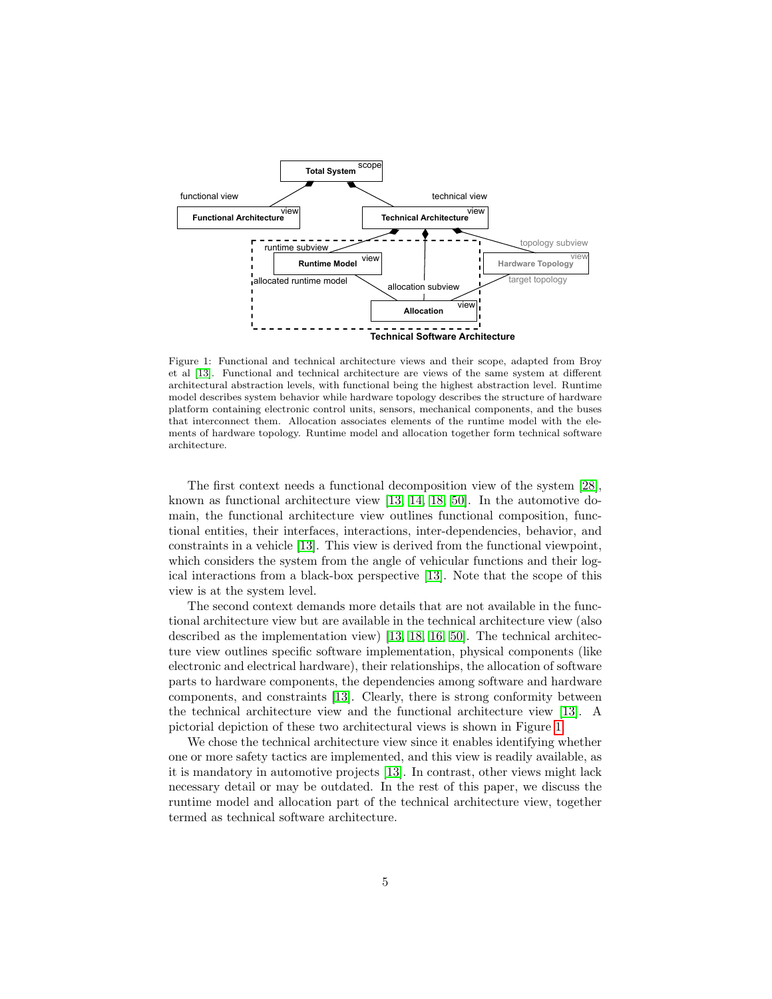<span id="page-4-0"></span>

Figure 1: Functional and technical architecture views and their scope, adapted from Broy et al [\[13\]](#page-26-5). Functional and technical architecture are views of the same system at different architectural abstraction levels, with functional being the highest abstraction level. Runtime model describes system behavior while hardware topology describes the structure of hardware platform containing electronic control units, sensors, mechanical components, and the buses that interconnect them. Allocation associates elements of the runtime model with the elements of hardware topology. Runtime model and allocation together form technical software architecture.

The first context needs a functional decomposition view of the system [\[28\]](#page-27-1), known as functional architecture view [\[13,](#page-26-5) [14,](#page-26-6) [18,](#page-26-7) [50\]](#page-28-6). In the automotive domain, the functional architecture view outlines functional composition, functional entities, their interfaces, interactions, inter-dependencies, behavior, and constraints in a vehicle [\[13\]](#page-26-5). This view is derived from the functional viewpoint, which considers the system from the angle of vehicular functions and their logical interactions from a black-box perspective [\[13\]](#page-26-5). Note that the scope of this view is at the system level.

The second context demands more details that are not available in the functional architecture view but are available in the technical architecture view (also described as the implementation view) [\[13,](#page-26-5) [18,](#page-26-7) [16,](#page-26-8) [50\]](#page-28-6). The technical architecture view outlines specific software implementation, physical components (like electronic and electrical hardware), their relationships, the allocation of software parts to hardware components, the dependencies among software and hardware components, and constraints [\[13\]](#page-26-5). Clearly, there is strong conformity between the technical architecture view and the functional architecture view [\[13\]](#page-26-5). A pictorial depiction of these two architectural views is shown in Figure [1.](#page-4-0)

We chose the technical architecture view since it enables identifying whether one or more safety tactics are implemented, and this view is readily available, as it is mandatory in automotive projects [\[13\]](#page-26-5). In contrast, other views might lack necessary detail or may be outdated. In the rest of this paper, we discuss the runtime model and allocation part of the technical architecture view, together termed as technical software architecture.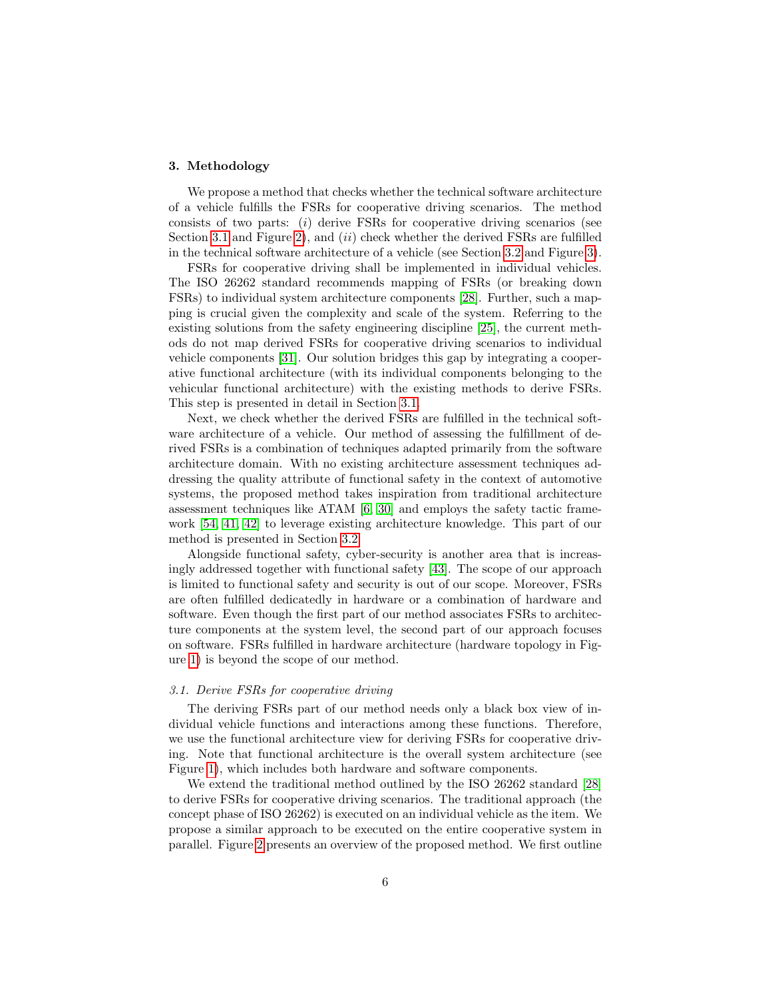## <span id="page-5-0"></span>3. Methodology

We propose a method that checks whether the technical software architecture of a vehicle fulfills the FSRs for cooperative driving scenarios. The method consists of two parts:  $(i)$  derive FSRs for cooperative driving scenarios (see Section [3.1](#page-5-1) and Figure [2\)](#page-6-0), and  $(ii)$  check whether the derived FSRs are fulfilled in the technical software architecture of a vehicle (see Section [3.2](#page-8-0) and Figure [3\)](#page-9-0).

FSRs for cooperative driving shall be implemented in individual vehicles. The ISO 26262 standard recommends mapping of FSRs (or breaking down FSRs) to individual system architecture components [\[28\]](#page-27-1). Further, such a mapping is crucial given the complexity and scale of the system. Referring to the existing solutions from the safety engineering discipline [\[25\]](#page-27-8), the current methods do not map derived FSRs for cooperative driving scenarios to individual vehicle components [\[31\]](#page-27-4). Our solution bridges this gap by integrating a cooperative functional architecture (with its individual components belonging to the vehicular functional architecture) with the existing methods to derive FSRs. This step is presented in detail in Section [3.1.](#page-5-1)

Next, we check whether the derived FSRs are fulfilled in the technical software architecture of a vehicle. Our method of assessing the fulfillment of derived FSRs is a combination of techniques adapted primarily from the software architecture domain. With no existing architecture assessment techniques addressing the quality attribute of functional safety in the context of automotive systems, the proposed method takes inspiration from traditional architecture assessment techniques like ATAM [\[6,](#page-25-2) [30\]](#page-27-5) and employs the safety tactic framework [\[54,](#page-29-0) [41,](#page-28-5) [42\]](#page-28-7) to leverage existing architecture knowledge. This part of our method is presented in Section [3.2.](#page-8-0)

Alongside functional safety, cyber-security is another area that is increasingly addressed together with functional safety [\[43\]](#page-28-8). The scope of our approach is limited to functional safety and security is out of our scope. Moreover, FSRs are often fulfilled dedicatedly in hardware or a combination of hardware and software. Even though the first part of our method associates FSRs to architecture components at the system level, the second part of our approach focuses on software. FSRs fulfilled in hardware architecture (hardware topology in Figure [1\)](#page-4-0) is beyond the scope of our method.

## <span id="page-5-1"></span>3.1. Derive FSRs for cooperative driving

The deriving FSRs part of our method needs only a black box view of individual vehicle functions and interactions among these functions. Therefore, we use the functional architecture view for deriving FSRs for cooperative driving. Note that functional architecture is the overall system architecture (see Figure [1\)](#page-4-0), which includes both hardware and software components.

We extend the traditional method outlined by the ISO 26262 standard [\[28\]](#page-27-1) to derive FSRs for cooperative driving scenarios. The traditional approach (the concept phase of ISO 26262) is executed on an individual vehicle as the item. We propose a similar approach to be executed on the entire cooperative system in parallel. Figure [2](#page-6-0) presents an overview of the proposed method. We first outline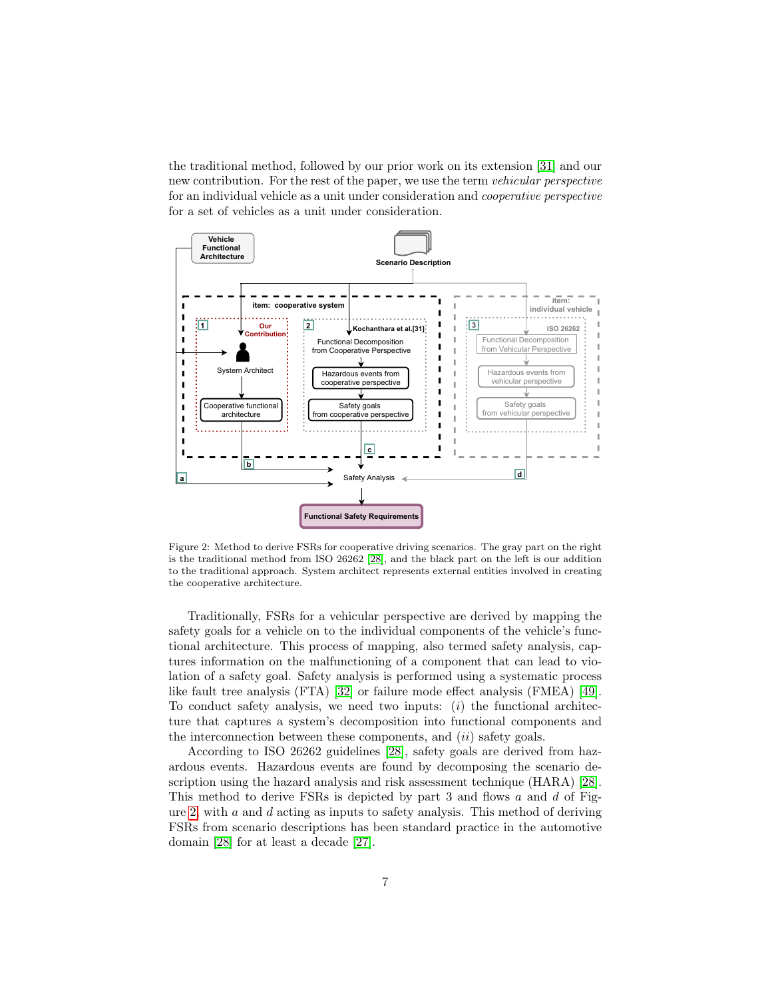the traditional method, followed by our prior work on its extension [\[31\]](#page-27-4) and our new contribution. For the rest of the paper, we use the term vehicular perspective for an individual vehicle as a unit under consideration and cooperative perspective for a set of vehicles as a unit under consideration.

<span id="page-6-0"></span>

Figure 2: Method to derive FSRs for cooperative driving scenarios. The gray part on the right is the traditional method from ISO 26262 [\[28\]](#page-27-1), and the black part on the left is our addition to the traditional approach. System architect represents external entities involved in creating the cooperative architecture.

Traditionally, FSRs for a vehicular perspective are derived by mapping the safety goals for a vehicle on to the individual components of the vehicle's functional architecture. This process of mapping, also termed safety analysis, captures information on the malfunctioning of a component that can lead to violation of a safety goal. Safety analysis is performed using a systematic process like fault tree analysis (FTA) [\[32\]](#page-27-9) or failure mode effect analysis (FMEA) [\[49\]](#page-28-9). To conduct safety analysis, we need two inputs:  $(i)$  the functional architecture that captures a system's decomposition into functional components and the interconnection between these components, and  $(ii)$  safety goals.

According to ISO 26262 guidelines [\[28\]](#page-27-1), safety goals are derived from hazardous events. Hazardous events are found by decomposing the scenario description using the hazard analysis and risk assessment technique (HARA) [\[28\]](#page-27-1). This method to derive FSRs is depicted by part  $3$  and flows  $a$  and  $d$  of Fig-ure [2,](#page-6-0) with  $a$  and  $d$  acting as inputs to safety analysis. This method of deriving FSRs from scenario descriptions has been standard practice in the automotive domain [\[28\]](#page-27-1) for at least a decade [\[27\]](#page-27-10).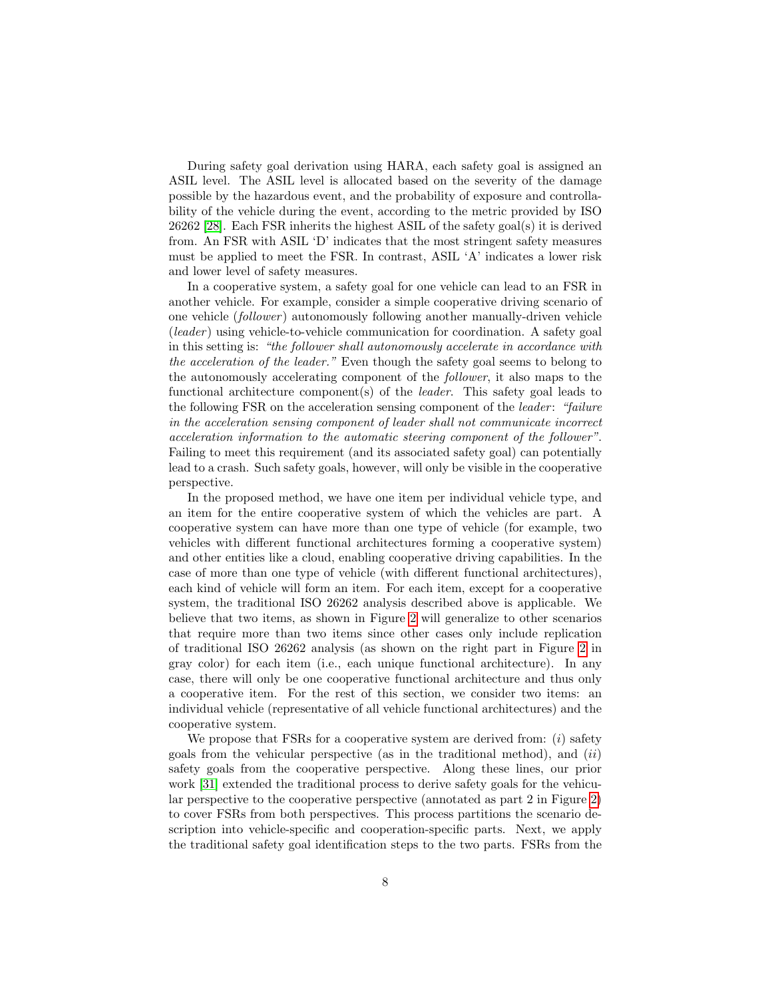During safety goal derivation using HARA, each safety goal is assigned an ASIL level. The ASIL level is allocated based on the severity of the damage possible by the hazardous event, and the probability of exposure and controllability of the vehicle during the event, according to the metric provided by ISO 26262 [\[28\]](#page-27-1). Each FSR inherits the highest ASIL of the safety goal(s) it is derived from. An FSR with ASIL 'D' indicates that the most stringent safety measures must be applied to meet the FSR. In contrast, ASIL 'A' indicates a lower risk and lower level of safety measures.

In a cooperative system, a safety goal for one vehicle can lead to an FSR in another vehicle. For example, consider a simple cooperative driving scenario of one vehicle (*follower*) autonomously following another manually-driven vehicle  $(leader)$  using vehicle-to-vehicle communication for coordination. A safety goal in this setting is: "the follower shall autonomously accelerate in accordance with the acceleration of the leader." Even though the safety goal seems to belong to the autonomously accelerating component of the follower, it also maps to the functional architecture component(s) of the *leader*. This safety goal leads to the following FSR on the acceleration sensing component of the *leader*: "*failure* in the acceleration sensing component of leader shall not communicate incorrect acceleration information to the automatic steering component of the follower". Failing to meet this requirement (and its associated safety goal) can potentially lead to a crash. Such safety goals, however, will only be visible in the cooperative perspective.

In the proposed method, we have one item per individual vehicle type, and an item for the entire cooperative system of which the vehicles are part. A cooperative system can have more than one type of vehicle (for example, two vehicles with different functional architectures forming a cooperative system) and other entities like a cloud, enabling cooperative driving capabilities. In the case of more than one type of vehicle (with different functional architectures), each kind of vehicle will form an item. For each item, except for a cooperative system, the traditional ISO 26262 analysis described above is applicable. We believe that two items, as shown in Figure [2](#page-6-0) will generalize to other scenarios that require more than two items since other cases only include replication of traditional ISO 26262 analysis (as shown on the right part in Figure [2](#page-6-0) in gray color) for each item (i.e., each unique functional architecture). In any case, there will only be one cooperative functional architecture and thus only a cooperative item. For the rest of this section, we consider two items: an individual vehicle (representative of all vehicle functional architectures) and the cooperative system.

We propose that FSRs for a cooperative system are derived from:  $(i)$  safety goals from the vehicular perspective (as in the traditional method), and  $(ii)$ safety goals from the cooperative perspective. Along these lines, our prior work [\[31\]](#page-27-4) extended the traditional process to derive safety goals for the vehicular perspective to the cooperative perspective (annotated as part 2 in Figure [2\)](#page-6-0) to cover FSRs from both perspectives. This process partitions the scenario description into vehicle-specific and cooperation-specific parts. Next, we apply the traditional safety goal identification steps to the two parts. FSRs from the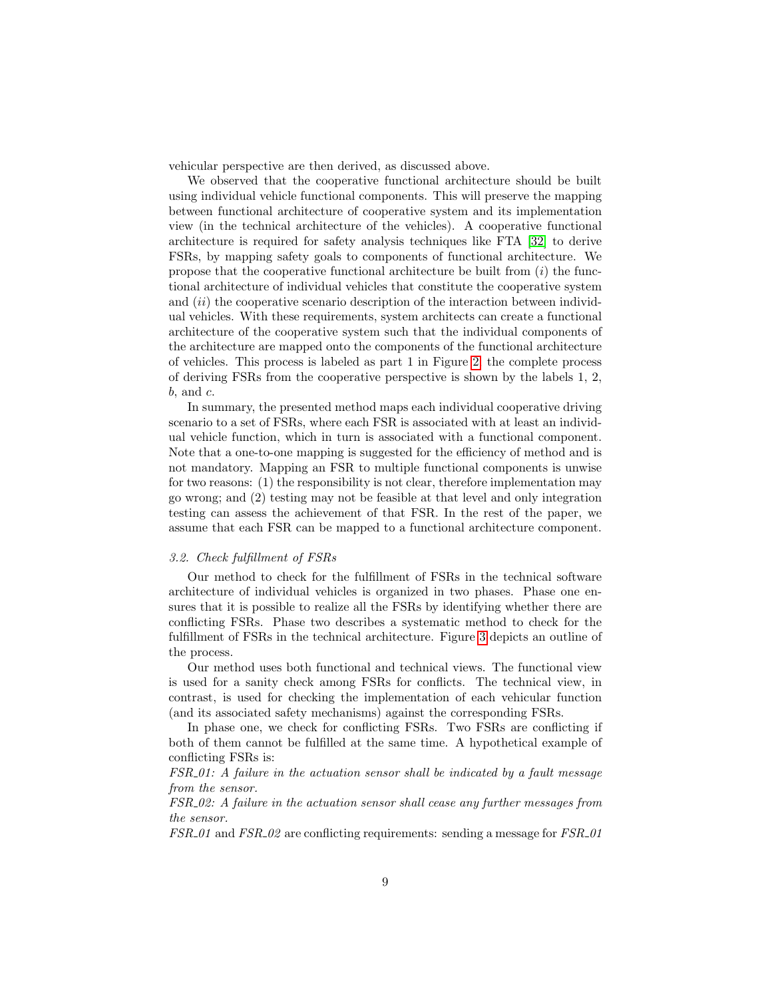vehicular perspective are then derived, as discussed above.

We observed that the cooperative functional architecture should be built using individual vehicle functional components. This will preserve the mapping between functional architecture of cooperative system and its implementation view (in the technical architecture of the vehicles). A cooperative functional architecture is required for safety analysis techniques like FTA [\[32\]](#page-27-9) to derive FSRs, by mapping safety goals to components of functional architecture. We propose that the cooperative functional architecture be built from  $(i)$  the functional architecture of individual vehicles that constitute the cooperative system and  $(ii)$  the cooperative scenario description of the interaction between individual vehicles. With these requirements, system architects can create a functional architecture of the cooperative system such that the individual components of the architecture are mapped onto the components of the functional architecture of vehicles. This process is labeled as part 1 in Figure [2;](#page-6-0) the complete process of deriving FSRs from the cooperative perspective is shown by the labels 1, 2,  $b.$  and  $c.$ 

In summary, the presented method maps each individual cooperative driving scenario to a set of FSRs, where each FSR is associated with at least an individual vehicle function, which in turn is associated with a functional component. Note that a one-to-one mapping is suggested for the efficiency of method and is not mandatory. Mapping an FSR to multiple functional components is unwise for two reasons: (1) the responsibility is not clear, therefore implementation may go wrong; and (2) testing may not be feasible at that level and only integration testing can assess the achievement of that FSR. In the rest of the paper, we assume that each FSR can be mapped to a functional architecture component.

#### <span id="page-8-0"></span>3.2. Check fulfillment of FSRs

Our method to check for the fulfillment of FSRs in the technical software architecture of individual vehicles is organized in two phases. Phase one ensures that it is possible to realize all the FSRs by identifying whether there are conflicting FSRs. Phase two describes a systematic method to check for the fulfillment of FSRs in the technical architecture. Figure [3](#page-9-0) depicts an outline of the process.

Our method uses both functional and technical views. The functional view is used for a sanity check among FSRs for conflicts. The technical view, in contrast, is used for checking the implementation of each vehicular function (and its associated safety mechanisms) against the corresponding FSRs.

In phase one, we check for conflicting FSRs. Two FSRs are conflicting if both of them cannot be fulfilled at the same time. A hypothetical example of conflicting FSRs is:

FSR 01: A failure in the actuation sensor shall be indicated by a fault message from the sensor.

FSR 02: A failure in the actuation sensor shall cease any further messages from the sensor.

FSR 01 and FSR 02 are conflicting requirements: sending a message for FSR 01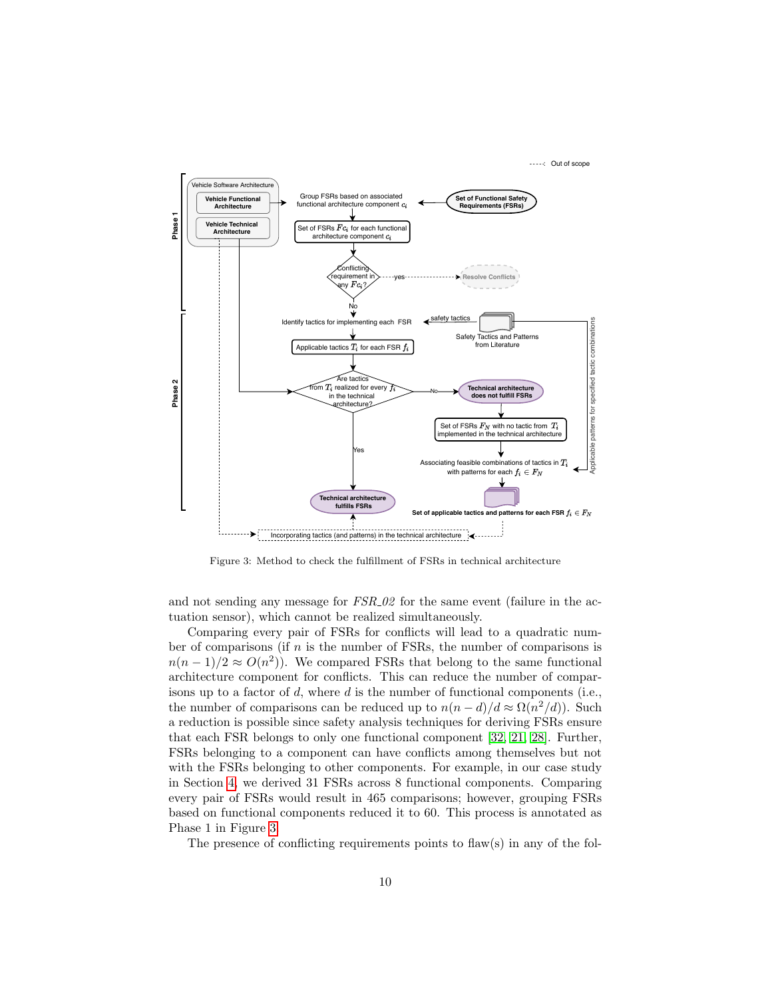<span id="page-9-0"></span>

Figure 3: Method to check the fulfillment of FSRs in technical architecture

and not sending any message for  $FSR_02$  for the same event (failure in the actuation sensor), which cannot be realized simultaneously.

Comparing every pair of FSRs for conflicts will lead to a quadratic number of comparisons (if  $n$  is the number of FSRs, the number of comparisons is  $n(n-1)/2 \approx O(n^2)$ ). We compared FSRs that belong to the same functional architecture component for conflicts. This can reduce the number of comparisons up to a factor of d, where  $d$  is the number of functional components (i.e., the number of comparisons can be reduced up to  $n(n-d)/d \approx \Omega(n^2/d)$ . Such a reduction is possible since safety analysis techniques for deriving FSRs ensure that each FSR belongs to only one functional component [\[32,](#page-27-9) [21,](#page-26-9) [28\]](#page-27-1). Further, FSRs belonging to a component can have conflicts among themselves but not with the FSRs belonging to other components. For example, in our case study in Section [4,](#page-11-0) we derived 31 FSRs across 8 functional components. Comparing every pair of FSRs would result in 465 comparisons; however, grouping FSRs based on functional components reduced it to 60. This process is annotated as Phase 1 in Figure [3.](#page-9-0)

The presence of conflicting requirements points to flaw(s) in any of the fol-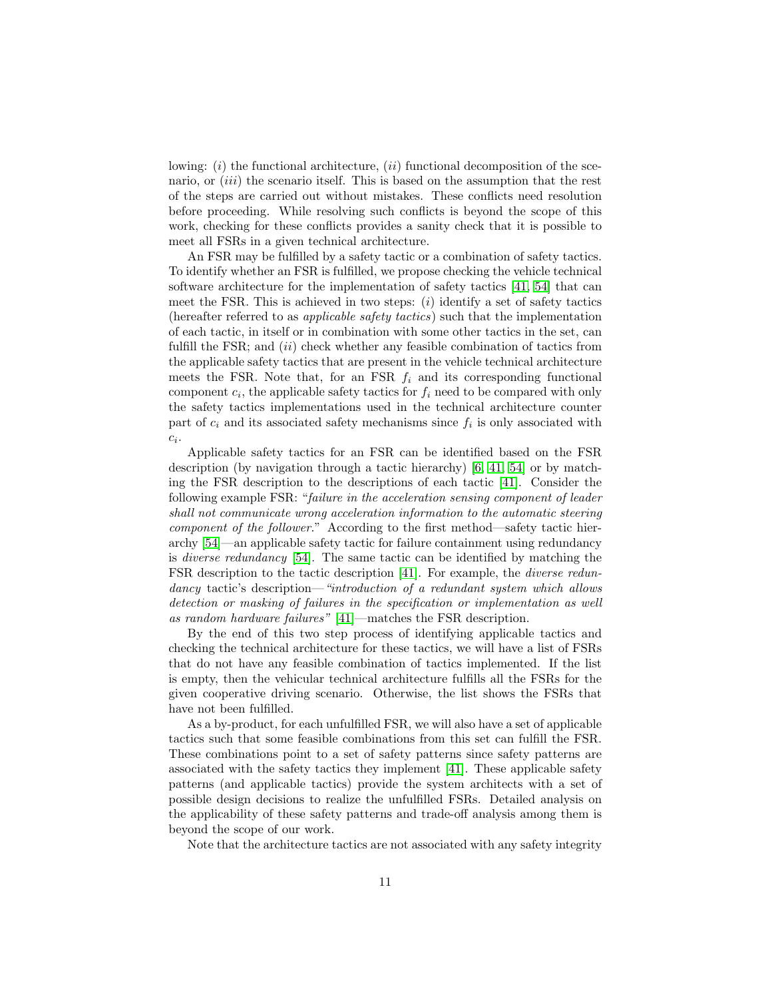lowing:  $(i)$  the functional architecture,  $(ii)$  functional decomposition of the scenario, or *(iii)* the scenario itself. This is based on the assumption that the rest of the steps are carried out without mistakes. These conflicts need resolution before proceeding. While resolving such conflicts is beyond the scope of this work, checking for these conflicts provides a sanity check that it is possible to meet all FSRs in a given technical architecture.

An FSR may be fulfilled by a safety tactic or a combination of safety tactics. To identify whether an FSR is fulfilled, we propose checking the vehicle technical software architecture for the implementation of safety tactics [\[41,](#page-28-5) [54\]](#page-29-0) that can meet the FSR. This is achieved in two steps:  $(i)$  identify a set of safety tactics (hereafter referred to as applicable safety tactics) such that the implementation of each tactic, in itself or in combination with some other tactics in the set, can fulfill the FSR; and  $(ii)$  check whether any feasible combination of tactics from the applicable safety tactics that are present in the vehicle technical architecture meets the FSR. Note that, for an FSR  $f_i$  and its corresponding functional component  $c_i$ , the applicable safety tactics for  $f_i$  need to be compared with only the safety tactics implementations used in the technical architecture counter part of  $c_i$  and its associated safety mechanisms since  $f_i$  is only associated with  $c_i$ .

Applicable safety tactics for an FSR can be identified based on the FSR description (by navigation through a tactic hierarchy) [\[6,](#page-25-2) [41,](#page-28-5) [54\]](#page-29-0) or by matching the FSR description to the descriptions of each tactic [\[41\]](#page-28-5). Consider the following example FSR: "failure in the acceleration sensing component of leader shall not communicate wrong acceleration information to the automatic steering component of the follower." According to the first method—safety tactic hierarchy [\[54\]](#page-29-0)—an applicable safety tactic for failure containment using redundancy is diverse redundancy [\[54\]](#page-29-0). The same tactic can be identified by matching the FSR description to the tactic description [\[41\]](#page-28-5). For example, the diverse redundancy tactic's description—"introduction of a redundant system which allows detection or masking of failures in the specification or implementation as well as random hardware failures" [\[41\]](#page-28-5)—matches the FSR description.

By the end of this two step process of identifying applicable tactics and checking the technical architecture for these tactics, we will have a list of FSRs that do not have any feasible combination of tactics implemented. If the list is empty, then the vehicular technical architecture fulfills all the FSRs for the given cooperative driving scenario. Otherwise, the list shows the FSRs that have not been fulfilled.

As a by-product, for each unfulfilled FSR, we will also have a set of applicable tactics such that some feasible combinations from this set can fulfill the FSR. These combinations point to a set of safety patterns since safety patterns are associated with the safety tactics they implement [\[41\]](#page-28-5). These applicable safety patterns (and applicable tactics) provide the system architects with a set of possible design decisions to realize the unfulfilled FSRs. Detailed analysis on the applicability of these safety patterns and trade-off analysis among them is beyond the scope of our work.

Note that the architecture tactics are not associated with any safety integrity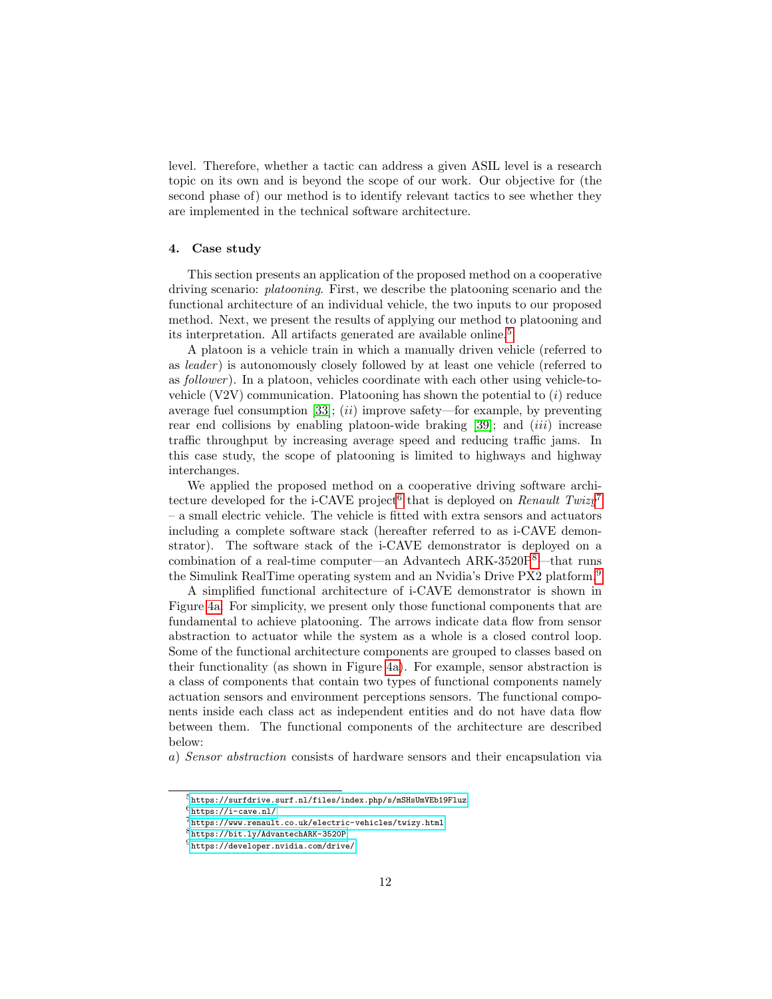level. Therefore, whether a tactic can address a given ASIL level is a research topic on its own and is beyond the scope of our work. Our objective for (the second phase of) our method is to identify relevant tactics to see whether they are implemented in the technical software architecture.

#### <span id="page-11-0"></span>4. Case study

This section presents an application of the proposed method on a cooperative driving scenario: platooning. First, we describe the platooning scenario and the functional architecture of an individual vehicle, the two inputs to our proposed method. Next, we present the results of applying our method to platooning and its interpretation. All artifacts generated are available online.[5](#page-11-1)

A platoon is a vehicle train in which a manually driven vehicle (referred to as *leader*) is autonomously closely followed by at least one vehicle (referred to as *follower*). In a platoon, vehicles coordinate with each other using vehicle-tovehicle  $(V2V)$  communication. Platooning has shown the potential to  $(i)$  reduce average fuel consumption [\[33\]](#page-27-0);  $(ii)$  improve safety—for example, by preventing rear end collisions by enabling platoon-wide braking  $[39]$ ; and  $(iii)$  increase traffic throughput by increasing average speed and reducing traffic jams. In this case study, the scope of platooning is limited to highways and highway interchanges.

We applied the proposed method on a cooperative driving software archi-tecture developed for the i-CAVE project<sup>[6](#page-11-2)</sup> that is deployed on Renault Twizy<sup>[7](#page-11-3)</sup> – a small electric vehicle. The vehicle is fitted with extra sensors and actuators including a complete software stack (hereafter referred to as i-CAVE demonstrator). The software stack of the i-CAVE demonstrator is deployed on a combination of a real-time computer—an Advantech ARK-3520P[8](#page-11-4)—that runs the Simulink RealTime operating system and an Nvidia's Drive PX2 platform.[9](#page-11-5)

A simplified functional architecture of i-CAVE demonstrator is shown in Figure [4a.](#page-13-0) For simplicity, we present only those functional components that are fundamental to achieve platooning. The arrows indicate data flow from sensor abstraction to actuator while the system as a whole is a closed control loop. Some of the functional architecture components are grouped to classes based on their functionality (as shown in Figure [4a\)](#page-13-0). For example, sensor abstraction is a class of components that contain two types of functional components namely actuation sensors and environment perceptions sensors. The functional components inside each class act as independent entities and do not have data flow between them. The functional components of the architecture are described below:

a) Sensor abstraction consists of hardware sensors and their encapsulation via

<span id="page-11-2"></span> $^6$ <https://i-cave.nl/>

<span id="page-11-1"></span> $^5$ <https://surfdrive.surf.nl/files/index.php/s/mSHsUmVEb19Fluz>

<span id="page-11-3"></span><sup>7</sup> <https://www.renault.co.uk/electric-vehicles/twizy.html>

<span id="page-11-4"></span><sup>8</sup> <https://bit.ly/AdvantechARK-3520P>

<span id="page-11-5"></span> $^9$ <https://developer.nvidia.com/drive/>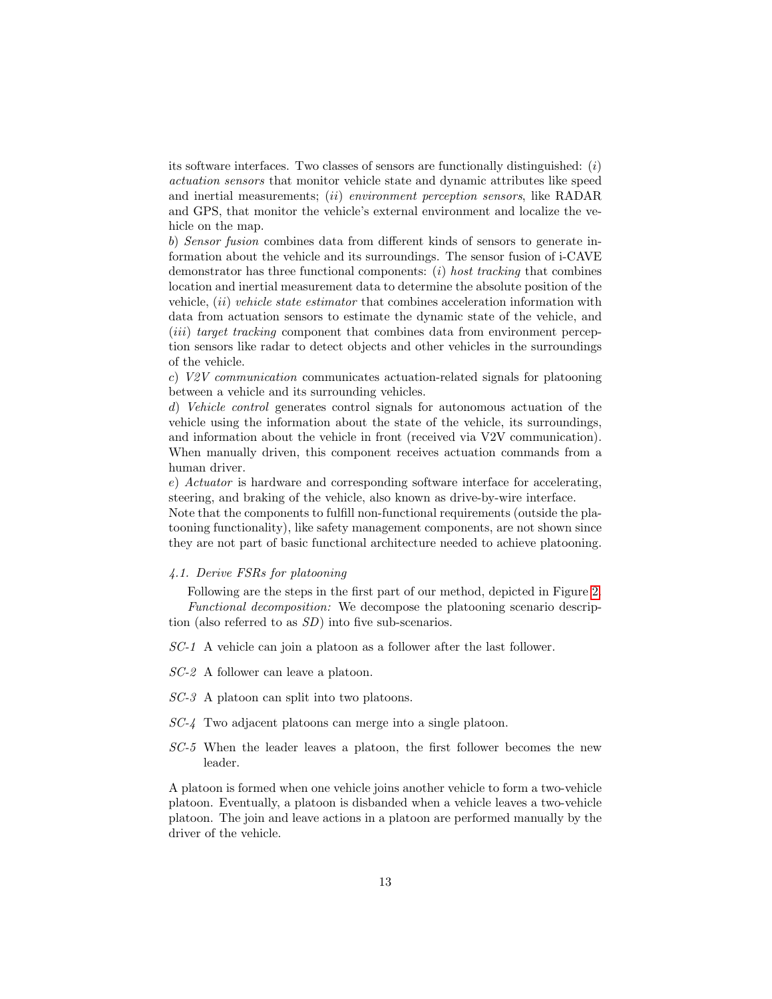its software interfaces. Two classes of sensors are functionally distinguished:  $(i)$ actuation sensors that monitor vehicle state and dynamic attributes like speed and inertial measurements; (ii) environment perception sensors, like RADAR and GPS, that monitor the vehicle's external environment and localize the vehicle on the map.

b) Sensor fusion combines data from different kinds of sensors to generate information about the vehicle and its surroundings. The sensor fusion of i-CAVE demonstrator has three functional components:  $(i)$  host tracking that combines location and inertial measurement data to determine the absolute position of the vehicle, (ii) vehicle state estimator that combines acceleration information with data from actuation sensors to estimate the dynamic state of the vehicle, and (*iii*) target tracking component that combines data from environment perception sensors like radar to detect objects and other vehicles in the surroundings of the vehicle.

c) V2V communication communicates actuation-related signals for platooning between a vehicle and its surrounding vehicles.

d) Vehicle control generates control signals for autonomous actuation of the vehicle using the information about the state of the vehicle, its surroundings, and information about the vehicle in front (received via V2V communication). When manually driven, this component receives actuation commands from a human driver.

e) Actuator is hardware and corresponding software interface for accelerating, steering, and braking of the vehicle, also known as drive-by-wire interface.

Note that the components to fulfill non-functional requirements (outside the platooning functionality), like safety management components, are not shown since they are not part of basic functional architecture needed to achieve platooning.

#### <span id="page-12-0"></span>4.1. Derive FSRs for platooning

Following are the steps in the first part of our method, depicted in Figure [2.](#page-6-0) Functional decomposition: We decompose the platooning scenario description (also referred to as SD) into five sub-scenarios.

SC-1 A vehicle can join a platoon as a follower after the last follower.

SC-2 A follower can leave a platoon.

SC-3 A platoon can split into two platoons.

- SC-4 Two adjacent platoons can merge into a single platoon.
- SC-5 When the leader leaves a platoon, the first follower becomes the new leader.

A platoon is formed when one vehicle joins another vehicle to form a two-vehicle platoon. Eventually, a platoon is disbanded when a vehicle leaves a two-vehicle platoon. The join and leave actions in a platoon are performed manually by the driver of the vehicle.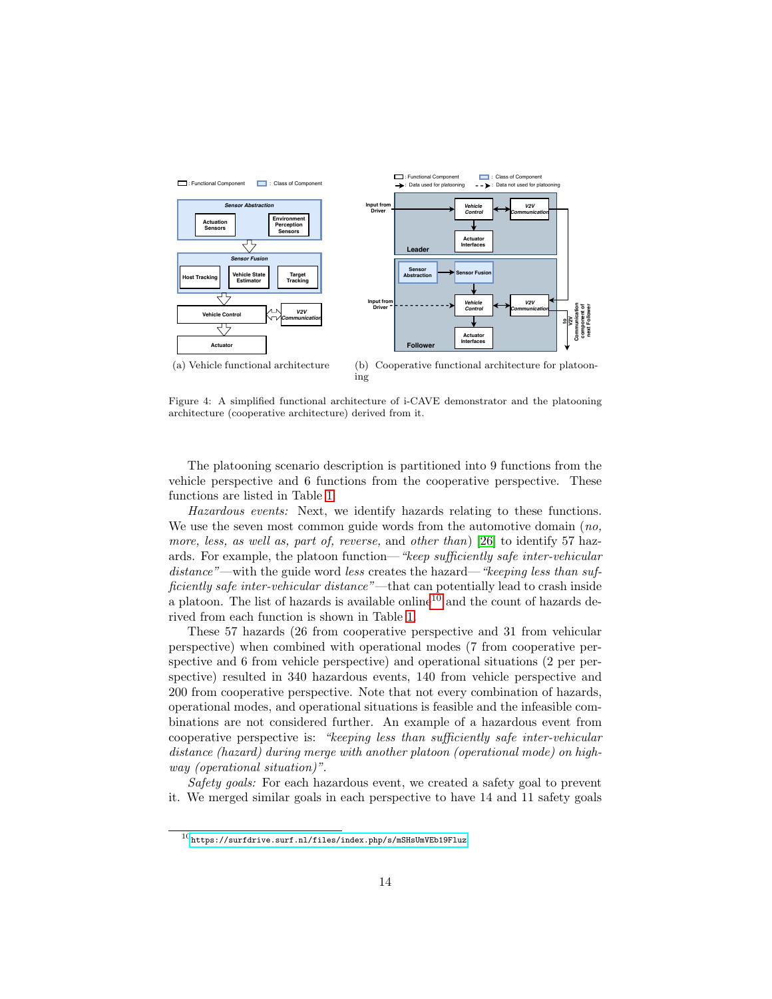<span id="page-13-0"></span>

<span id="page-13-2"></span>Figure 4: A simplified functional architecture of i-CAVE demonstrator and the platooning architecture (cooperative architecture) derived from it.

The platooning scenario description is partitioned into 9 functions from the vehicle perspective and 6 functions from the cooperative perspective. These functions are listed in Table [1.](#page-14-0)

Hazardous events: Next, we identify hazards relating to these functions. We use the seven most common guide words from the automotive domain (no, more, less, as well as, part of, reverse, and other than) [\[26\]](#page-27-7) to identify 57 hazards. For example, the platoon function—"keep sufficiently safe inter-vehicular  $distance$ <sup>"</sup>—with the guide word less creates the hazard—"keeping less than sufficiently safe inter-vehicular distance"—that can potentially lead to crash inside a platoon. The list of hazards is available online<sup>[10](#page-13-1)</sup> and the count of hazards derived from each function is shown in Table [1.](#page-14-0)

These 57 hazards (26 from cooperative perspective and 31 from vehicular perspective) when combined with operational modes (7 from cooperative perspective and 6 from vehicle perspective) and operational situations (2 per perspective) resulted in 340 hazardous events, 140 from vehicle perspective and 200 from cooperative perspective. Note that not every combination of hazards, operational modes, and operational situations is feasible and the infeasible combinations are not considered further. An example of a hazardous event from cooperative perspective is: "keeping less than sufficiently safe inter-vehicular distance (hazard) during merge with another platoon (operational mode) on highway (operational situation)".

Safety goals: For each hazardous event, we created a safety goal to prevent it. We merged similar goals in each perspective to have 14 and 11 safety goals

<span id="page-13-1"></span> $^{10}\mathrm{https://surface.surf.nl/files/index.php/s/mSHsUmVEb19Fluz}$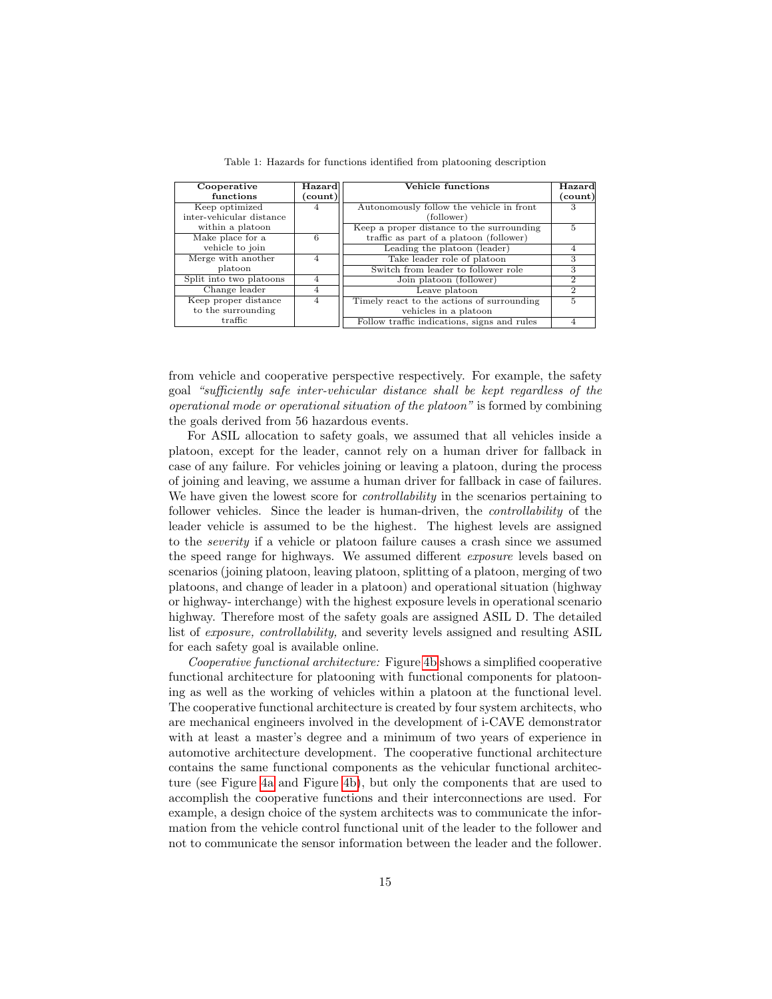<span id="page-14-0"></span>

| Cooperative              | Hazard         | Vehicle functions                           | Hazard                   |
|--------------------------|----------------|---------------------------------------------|--------------------------|
| functions                | (count)        |                                             | (count)                  |
| Keep optimized           | 4              | Autonomously follow the vehicle in front    | З                        |
| inter-vehicular distance |                | (follower)                                  |                          |
| within a platoon         |                | Keep a proper distance to the surrounding   | 5                        |
| Make place for a         | 6              | traffic as part of a platoon (follower)     |                          |
| vehicle to join          |                | Leading the platoon (leader)                | 4                        |
| Merge with another       | 4              | Take leader role of platoon                 | 3                        |
| platoon                  |                | Switch from leader to follower role         | 3                        |
| Split into two platoons  | 4              | Join platoon (follower)                     | $\mathfrak{D}_{1}^{(1)}$ |
| Change leader            | 4              | Leave platoon                               | $\mathcal{D}$            |
| Keep proper distance     | $\overline{4}$ | Timely react to the actions of surrounding  | 5                        |
| to the surrounding       |                | vehicles in a platoon                       |                          |
| $\operatorname{traffic}$ |                | Follow traffic indications, signs and rules |                          |

Table 1: Hazards for functions identified from platooning description

from vehicle and cooperative perspective respectively. For example, the safety goal "sufficiently safe inter-vehicular distance shall be kept regardless of the operational mode or operational situation of the platoon" is formed by combining the goals derived from 56 hazardous events.

For ASIL allocation to safety goals, we assumed that all vehicles inside a platoon, except for the leader, cannot rely on a human driver for fallback in case of any failure. For vehicles joining or leaving a platoon, during the process of joining and leaving, we assume a human driver for fallback in case of failures. We have given the lowest score for *controllability* in the scenarios pertaining to follower vehicles. Since the leader is human-driven, the controllability of the leader vehicle is assumed to be the highest. The highest levels are assigned to the severity if a vehicle or platoon failure causes a crash since we assumed the speed range for highways. We assumed different exposure levels based on scenarios (joining platoon, leaving platoon, splitting of a platoon, merging of two platoons, and change of leader in a platoon) and operational situation (highway or highway- interchange) with the highest exposure levels in operational scenario highway. Therefore most of the safety goals are assigned ASIL D. The detailed list of exposure, controllability, and severity levels assigned and resulting ASIL for each safety goal is available online.

Cooperative functional architecture: Figure [4b](#page-13-2) shows a simplified cooperative functional architecture for platooning with functional components for platooning as well as the working of vehicles within a platoon at the functional level. The cooperative functional architecture is created by four system architects, who are mechanical engineers involved in the development of i-CAVE demonstrator with at least a master's degree and a minimum of two years of experience in automotive architecture development. The cooperative functional architecture contains the same functional components as the vehicular functional architecture (see Figure [4a](#page-13-0) and Figure [4b\)](#page-13-2), but only the components that are used to accomplish the cooperative functions and their interconnections are used. For example, a design choice of the system architects was to communicate the information from the vehicle control functional unit of the leader to the follower and not to communicate the sensor information between the leader and the follower.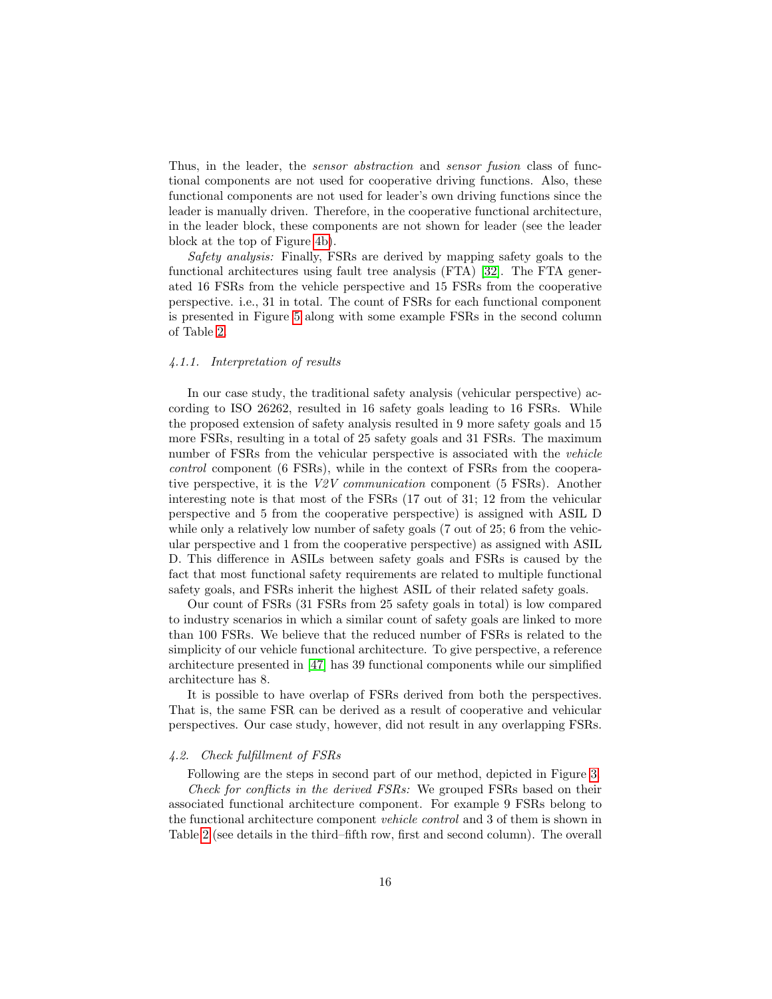Thus, in the leader, the *sensor abstraction* and *sensor fusion* class of functional components are not used for cooperative driving functions. Also, these functional components are not used for leader's own driving functions since the leader is manually driven. Therefore, in the cooperative functional architecture, in the leader block, these components are not shown for leader (see the leader block at the top of Figure [4b\)](#page-13-2).

Safety analysis: Finally, FSRs are derived by mapping safety goals to the functional architectures using fault tree analysis (FTA) [\[32\]](#page-27-9). The FTA generated 16 FSRs from the vehicle perspective and 15 FSRs from the cooperative perspective. i.e., 31 in total. The count of FSRs for each functional component is presented in Figure [5](#page-16-0) along with some example FSRs in the second column of Table [2.](#page-17-0)

## 4.1.1. Interpretation of results

In our case study, the traditional safety analysis (vehicular perspective) according to ISO 26262, resulted in 16 safety goals leading to 16 FSRs. While the proposed extension of safety analysis resulted in 9 more safety goals and 15 more FSRs, resulting in a total of 25 safety goals and 31 FSRs. The maximum number of FSRs from the vehicular perspective is associated with the vehicle control component (6 FSRs), while in the context of FSRs from the cooperative perspective, it is the V2V communication component (5 FSRs). Another interesting note is that most of the FSRs (17 out of 31; 12 from the vehicular perspective and 5 from the cooperative perspective) is assigned with ASIL D while only a relatively low number of safety goals (7 out of 25; 6 from the vehicular perspective and 1 from the cooperative perspective) as assigned with ASIL D. This difference in ASILs between safety goals and FSRs is caused by the fact that most functional safety requirements are related to multiple functional safety goals, and FSRs inherit the highest ASIL of their related safety goals.

Our count of FSRs (31 FSRs from 25 safety goals in total) is low compared to industry scenarios in which a similar count of safety goals are linked to more than 100 FSRs. We believe that the reduced number of FSRs is related to the simplicity of our vehicle functional architecture. To give perspective, a reference architecture presented in [\[47\]](#page-28-10) has 39 functional components while our simplified architecture has 8.

It is possible to have overlap of FSRs derived from both the perspectives. That is, the same FSR can be derived as a result of cooperative and vehicular perspectives. Our case study, however, did not result in any overlapping FSRs.

#### 4.2. Check fulfillment of FSRs

Following are the steps in second part of our method, depicted in Figure [3.](#page-9-0) Check for conflicts in the derived FSRs: We grouped FSRs based on their associated functional architecture component. For example 9 FSRs belong to the functional architecture component vehicle control and 3 of them is shown in Table [2](#page-17-0) (see details in the third–fifth row, first and second column). The overall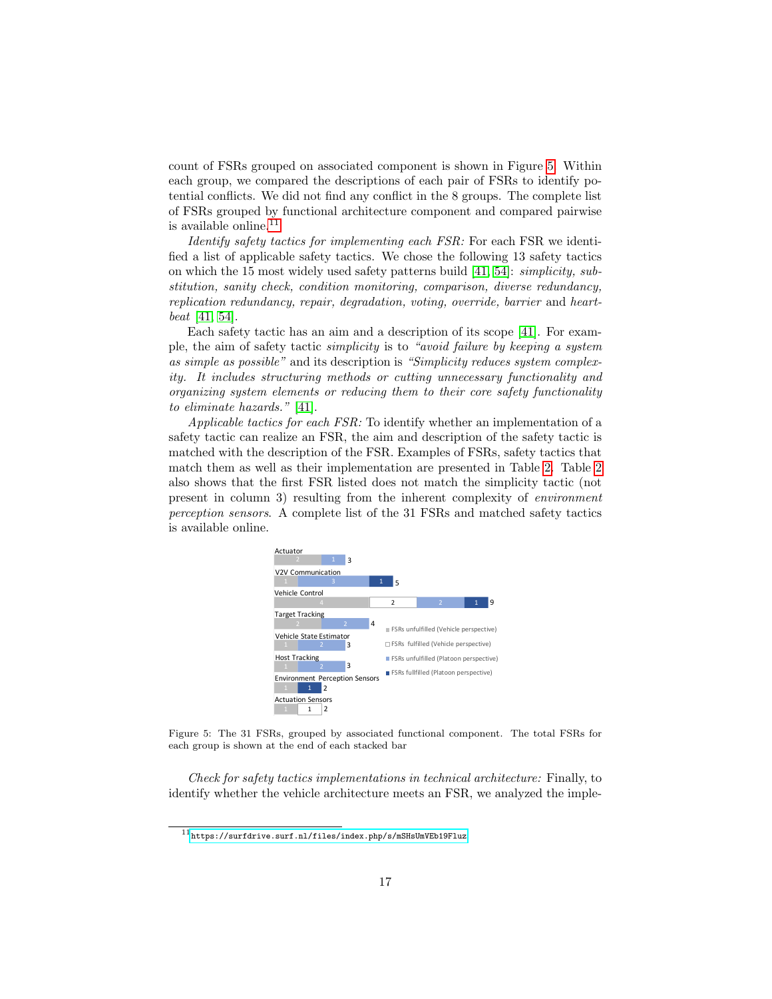count of FSRs grouped on associated component is shown in Figure [5.](#page-16-0) Within each group, we compared the descriptions of each pair of FSRs to identify potential conflicts. We did not find any conflict in the 8 groups. The complete list of FSRs grouped by functional architecture component and compared pairwise is available online. $^{11}$  $^{11}$  $^{11}$ 

Identify safety tactics for implementing each FSR: For each FSR we identified a list of applicable safety tactics. We chose the following 13 safety tactics on which the 15 most widely used safety patterns build [\[41,](#page-28-5) [54\]](#page-29-0): simplicity, substitution, sanity check, condition monitoring, comparison, diverse redundancy, replication redundancy, repair, degradation, voting, override, barrier and heartbeat [\[41,](#page-28-5) [54\]](#page-29-0).

Each safety tactic has an aim and a description of its scope [\[41\]](#page-28-5). For example, the aim of safety tactic simplicity is to "avoid failure by keeping a system as simple as possible" and its description is "Simplicity reduces system complexity. It includes structuring methods or cutting unnecessary functionality and organizing system elements or reducing them to their core safety functionality to eliminate hazards." [\[41\]](#page-28-5).

Applicable tactics for each FSR: To identify whether an implementation of a safety tactic can realize an FSR, the aim and description of the safety tactic is matched with the description of the FSR. Examples of FSRs, safety tactics that match them as well as their implementation are presented in Table [2.](#page-17-0) Table [2](#page-17-0) also shows that the first FSR listed does not match the simplicity tactic (not present in column 3) resulting from the inherent complexity of *environment* perception sensors. A complete list of the 31 FSRs and matched safety tactics is available online. FSRs under (Vehicle perspective) FSRs fulfilled (Vehicle perspective) FSRs under perspective  $\mathbf{r}$ 

<span id="page-16-0"></span>

Figure 5: The 31 FSRs, grouped by associated functional component. The total FSRs for each group is shown at the end of each stacked bar

Check for safety tactics implementations in technical architecture: Finally, to identify whether the vehicle architecture meets an FSR, we analyzed the imple-

<span id="page-16-1"></span> $^{11}\rm{https://surface.surf.nl/files/index.php/s/mSHsUmVEb19Fluz}$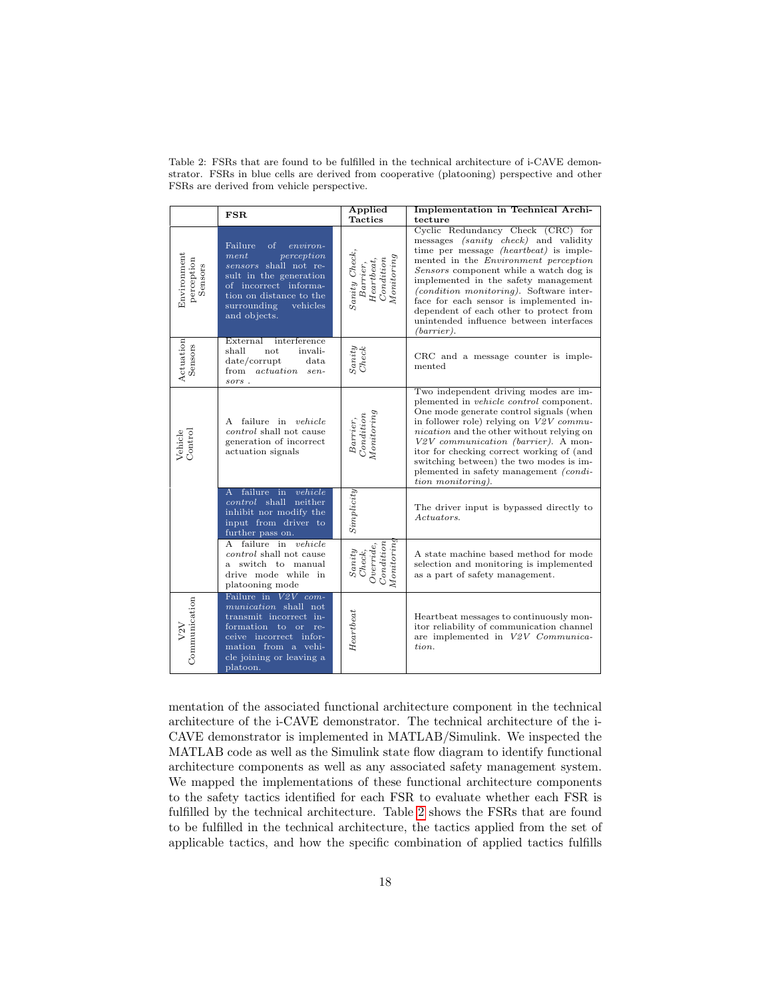|                                      | FSR                                                                                                                                                                                                            | Applied<br><b>Tactics</b>                                                               | Implementation in Technical Archi-<br>tecture                                                                                                                                                                                                                                                                                                                                                                                                                   |
|--------------------------------------|----------------------------------------------------------------------------------------------------------------------------------------------------------------------------------------------------------------|-----------------------------------------------------------------------------------------|-----------------------------------------------------------------------------------------------------------------------------------------------------------------------------------------------------------------------------------------------------------------------------------------------------------------------------------------------------------------------------------------------------------------------------------------------------------------|
| Environment<br>perception<br>Sensors | Failure<br><sub>of</sub><br>$environ-$<br>ment<br>perception<br>sensors shall not re-<br>sult in the generation<br>of incorrect informa-<br>tion on distance to the<br>surrounding<br>vehicles<br>and objects. | $Saniy$ $Check,$<br>Moniring<br>$\label{eq:1} Heartbeat, Condition$<br>Barrier,         | Cyclic Redundancy Check (CRC) for<br>messages <i>(sanity check)</i> and validity<br>time per message <i>(heartbeat)</i> is imple-<br>mented in the <i>Environment</i> perception<br>Sensors component while a watch dog is<br>implemented in the safety management<br>(condition monitoring). Software inter-<br>face for each sensor is implemented in-<br>dependent of each other to protect from<br>unintended influence between interfaces<br>$(barrier)$ . |
| Actuation<br>Sensors                 | External interference<br>shall<br>invali-<br>not<br>date/corrupt<br>data<br>actuation sen-<br>from<br>sors.                                                                                                    | Sanity<br>Check                                                                         | CRC and a message counter is imple-<br>mented                                                                                                                                                                                                                                                                                                                                                                                                                   |
| Vehicle<br>Control                   | A failure in vehicle<br><i>control</i> shall not cause<br>generation of incorrect<br>actuation signals                                                                                                         | Monitoring<br>Condition<br>Barrier,                                                     | Two independent driving modes are im-<br>plemented in <i>vehicle control</i> component.<br>One mode generate control signals (when<br>in follower role) relying on $V2V$ commu-<br><i>nication</i> and the other without relying on<br>V2V communication (barrier). A mon-<br>itor for checking correct working of (and<br>switching between) the two modes is im-<br>plemented in safety management <i>(condi-</i><br>tion monitoring).                        |
|                                      | A failure in<br>vehicle<br>control shall neither<br>inhibit nor modify the<br>input from driver to<br>further pass on.                                                                                         | ${\it Simplicity}$                                                                      | The driver input is bypassed directly to<br>Actuators.                                                                                                                                                                                                                                                                                                                                                                                                          |
|                                      | A failure in vehicle<br>control shall not cause<br>a switch to manual<br>drive mode while in<br>platooning mode                                                                                                | Monitoring<br>$\begin{bmatrix} Overide, \\ Condition \end{bmatrix}$<br>Sanity<br>Check, | A state machine based method for mode<br>selection and monitoring is implemented<br>as a part of safety management.                                                                                                                                                                                                                                                                                                                                             |
| Communication<br>V2V                 | Failure in V2V com-<br>munication shall not<br>transmit incorrect in-<br>formation to or<br>re-<br>ceive incorrect infor-<br>mation from a vehi-<br>cle joining or leaving a<br>platoon.                       | Heartbeat                                                                               | Heartbeat messages to continuously mon-<br>itor reliability of communication channel<br>are implemented in V2V Communica-<br>tion.                                                                                                                                                                                                                                                                                                                              |

<span id="page-17-0"></span>Table 2: FSRs that are found to be fulfilled in the technical architecture of i-CAVE demonstrator. FSRs in blue cells are derived from cooperative (platooning) perspective and other FSRs are derived from vehicle perspective.

mentation of the associated functional architecture component in the technical architecture of the i-CAVE demonstrator. The technical architecture of the i-CAVE demonstrator is implemented in MATLAB/Simulink. We inspected the MATLAB code as well as the Simulink state flow diagram to identify functional architecture components as well as any associated safety management system. We mapped the implementations of these functional architecture components to the safety tactics identified for each FSR to evaluate whether each FSR is fulfilled by the technical architecture. Table [2](#page-17-0) shows the FSRs that are found to be fulfilled in the technical architecture, the tactics applied from the set of applicable tactics, and how the specific combination of applied tactics fulfills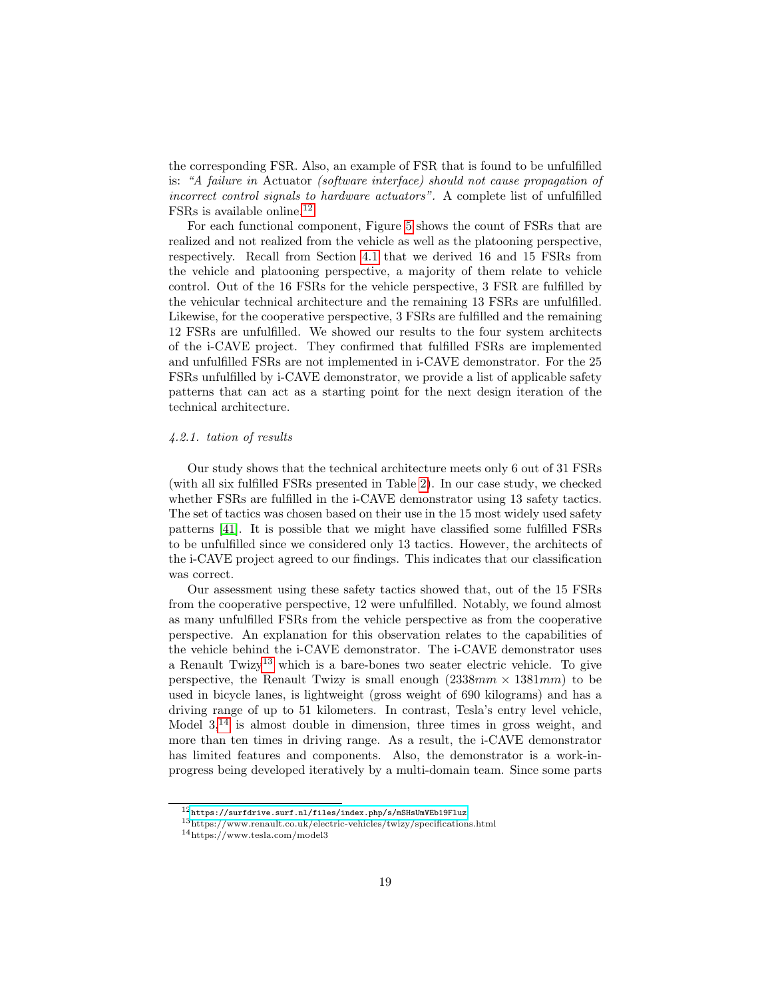the corresponding FSR. Also, an example of FSR that is found to be unfulfilled is: "A failure in Actuator (software interface) should not cause propagation of incorrect control signals to hardware actuators". A complete list of unfulfilled FSRs is available online.[12](#page-18-0)

For each functional component, Figure [5](#page-16-0) shows the count of FSRs that are realized and not realized from the vehicle as well as the platooning perspective, respectively. Recall from Section [4.1](#page-12-0) that we derived 16 and 15 FSRs from the vehicle and platooning perspective, a majority of them relate to vehicle control. Out of the 16 FSRs for the vehicle perspective, 3 FSR are fulfilled by the vehicular technical architecture and the remaining 13 FSRs are unfulfilled. Likewise, for the cooperative perspective, 3 FSRs are fulfilled and the remaining 12 FSRs are unfulfilled. We showed our results to the four system architects of the i-CAVE project. They confirmed that fulfilled FSRs are implemented and unfulfilled FSRs are not implemented in i-CAVE demonstrator. For the 25 FSRs unfulfilled by i-CAVE demonstrator, we provide a list of applicable safety patterns that can act as a starting point for the next design iteration of the technical architecture.

## 4.2.1. tation of results

Our study shows that the technical architecture meets only 6 out of 31 FSRs (with all six fulfilled FSRs presented in Table [2\)](#page-17-0). In our case study, we checked whether FSRs are fulfilled in the i-CAVE demonstrator using 13 safety tactics. The set of tactics was chosen based on their use in the 15 most widely used safety patterns [\[41\]](#page-28-5). It is possible that we might have classified some fulfilled FSRs to be unfulfilled since we considered only 13 tactics. However, the architects of the i-CAVE project agreed to our findings. This indicates that our classification was correct.

Our assessment using these safety tactics showed that, out of the 15 FSRs from the cooperative perspective, 12 were unfulfilled. Notably, we found almost as many unfulfilled FSRs from the vehicle perspective as from the cooperative perspective. An explanation for this observation relates to the capabilities of the vehicle behind the i-CAVE demonstrator. The i-CAVE demonstrator uses a Renault  $Twizy<sup>13</sup>$  $Twizy<sup>13</sup>$  $Twizy<sup>13</sup>$  which is a bare-bones two seater electric vehicle. To give perspective, the Renault Twizy is small enough  $(2338mm \times 1381mm)$  to be used in bicycle lanes, is lightweight (gross weight of 690 kilograms) and has a driving range of up to 51 kilometers. In contrast, Tesla's entry level vehicle, Model  $3<sup>14</sup>$  $3<sup>14</sup>$  $3<sup>14</sup>$  is almost double in dimension, three times in gross weight, and more than ten times in driving range. As a result, the i-CAVE demonstrator has limited features and components. Also, the demonstrator is a work-inprogress being developed iteratively by a multi-domain team. Since some parts

<span id="page-18-0"></span> $^{12}{\rm htts://surface.surf.nl/files/index.php/s/mSHsUmVEb19Fluz}$ 

<span id="page-18-1"></span> $^{13}{\rm https://www.renault.co.uk/electric-velicles/twizy/specifications.html}$ 

<span id="page-18-2"></span><sup>14</sup>https://www.tesla.com/model3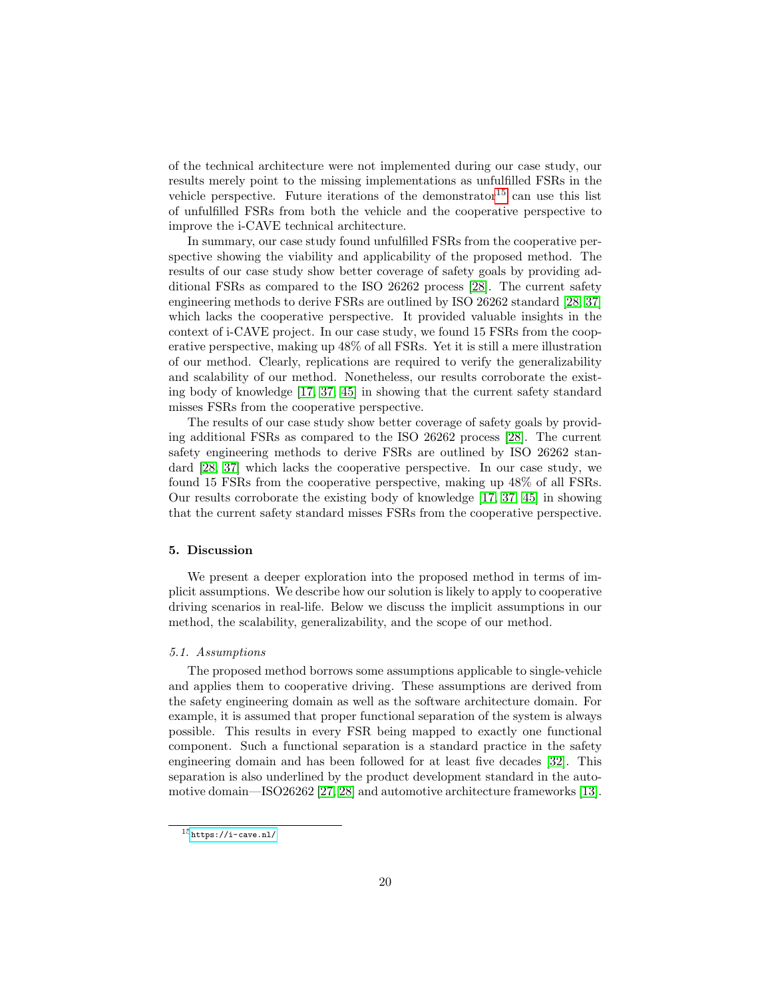of the technical architecture were not implemented during our case study, our results merely point to the missing implementations as unfulfilled FSRs in the vehicle perspective. Future iterations of the demonstrator  $15$  can use this list of unfulfilled FSRs from both the vehicle and the cooperative perspective to improve the i-CAVE technical architecture.

In summary, our case study found unfulfilled FSRs from the cooperative perspective showing the viability and applicability of the proposed method. The results of our case study show better coverage of safety goals by providing additional FSRs as compared to the ISO 26262 process [\[28\]](#page-27-1). The current safety engineering methods to derive FSRs are outlined by ISO 26262 standard [\[28,](#page-27-1) [37\]](#page-27-3) which lacks the cooperative perspective. It provided valuable insights in the context of i-CAVE project. In our case study, we found 15 FSRs from the cooperative perspective, making up 48% of all FSRs. Yet it is still a mere illustration of our method. Clearly, replications are required to verify the generalizability and scalability of our method. Nonetheless, our results corroborate the existing body of knowledge [\[17,](#page-26-1) [37,](#page-27-3) [45\]](#page-28-3) in showing that the current safety standard misses FSRs from the cooperative perspective.

The results of our case study show better coverage of safety goals by providing additional FSRs as compared to the ISO 26262 process [\[28\]](#page-27-1). The current safety engineering methods to derive FSRs are outlined by ISO 26262 standard [\[28,](#page-27-1) [37\]](#page-27-3) which lacks the cooperative perspective. In our case study, we found 15 FSRs from the cooperative perspective, making up 48% of all FSRs. Our results corroborate the existing body of knowledge [\[17,](#page-26-1) [37,](#page-27-3) [45\]](#page-28-3) in showing that the current safety standard misses FSRs from the cooperative perspective.

## <span id="page-19-0"></span>5. Discussion

We present a deeper exploration into the proposed method in terms of implicit assumptions. We describe how our solution is likely to apply to cooperative driving scenarios in real-life. Below we discuss the implicit assumptions in our method, the scalability, generalizability, and the scope of our method.

## 5.1. Assumptions

The proposed method borrows some assumptions applicable to single-vehicle and applies them to cooperative driving. These assumptions are derived from the safety engineering domain as well as the software architecture domain. For example, it is assumed that proper functional separation of the system is always possible. This results in every FSR being mapped to exactly one functional component. Such a functional separation is a standard practice in the safety engineering domain and has been followed for at least five decades [\[32\]](#page-27-9). This separation is also underlined by the product development standard in the automotive domain—ISO26262 [\[27,](#page-27-10) [28\]](#page-27-1) and automotive architecture frameworks [\[13\]](#page-26-5).

<span id="page-19-1"></span> $^{15}\mathrm{https://i-cave.nl/}$  $^{15}\mathrm{https://i-cave.nl/}$  $^{15}\mathrm{https://i-cave.nl/}$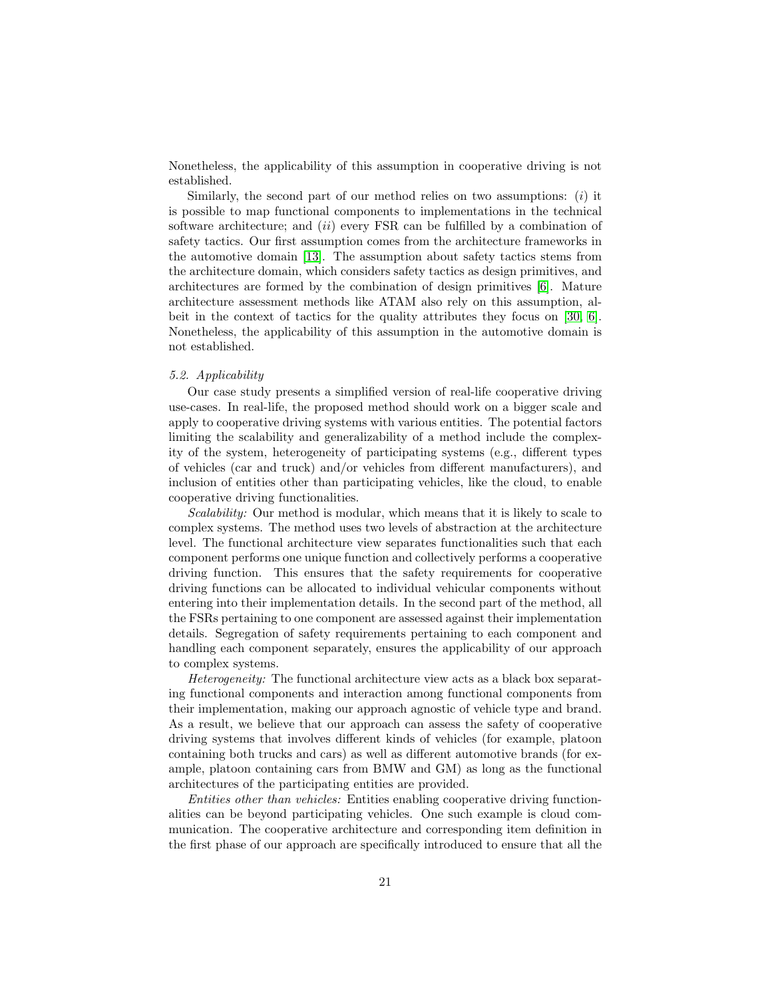Nonetheless, the applicability of this assumption in cooperative driving is not established.

Similarly, the second part of our method relies on two assumptions:  $(i)$  it is possible to map functional components to implementations in the technical software architecture; and  $(ii)$  every FSR can be fulfilled by a combination of safety tactics. Our first assumption comes from the architecture frameworks in the automotive domain [\[13\]](#page-26-5). The assumption about safety tactics stems from the architecture domain, which considers safety tactics as design primitives, and architectures are formed by the combination of design primitives [\[6\]](#page-25-2). Mature architecture assessment methods like ATAM also rely on this assumption, albeit in the context of tactics for the quality attributes they focus on [\[30,](#page-27-5) [6\]](#page-25-2). Nonetheless, the applicability of this assumption in the automotive domain is not established.

## 5.2. Applicability

Our case study presents a simplified version of real-life cooperative driving use-cases. In real-life, the proposed method should work on a bigger scale and apply to cooperative driving systems with various entities. The potential factors limiting the scalability and generalizability of a method include the complexity of the system, heterogeneity of participating systems (e.g., different types of vehicles (car and truck) and/or vehicles from different manufacturers), and inclusion of entities other than participating vehicles, like the cloud, to enable cooperative driving functionalities.

Scalability: Our method is modular, which means that it is likely to scale to complex systems. The method uses two levels of abstraction at the architecture level. The functional architecture view separates functionalities such that each component performs one unique function and collectively performs a cooperative driving function. This ensures that the safety requirements for cooperative driving functions can be allocated to individual vehicular components without entering into their implementation details. In the second part of the method, all the FSRs pertaining to one component are assessed against their implementation details. Segregation of safety requirements pertaining to each component and handling each component separately, ensures the applicability of our approach to complex systems.

Heterogeneity: The functional architecture view acts as a black box separating functional components and interaction among functional components from their implementation, making our approach agnostic of vehicle type and brand. As a result, we believe that our approach can assess the safety of cooperative driving systems that involves different kinds of vehicles (for example, platoon containing both trucks and cars) as well as different automotive brands (for example, platoon containing cars from BMW and GM) as long as the functional architectures of the participating entities are provided.

Entities other than vehicles: Entities enabling cooperative driving functionalities can be beyond participating vehicles. One such example is cloud communication. The cooperative architecture and corresponding item definition in the first phase of our approach are specifically introduced to ensure that all the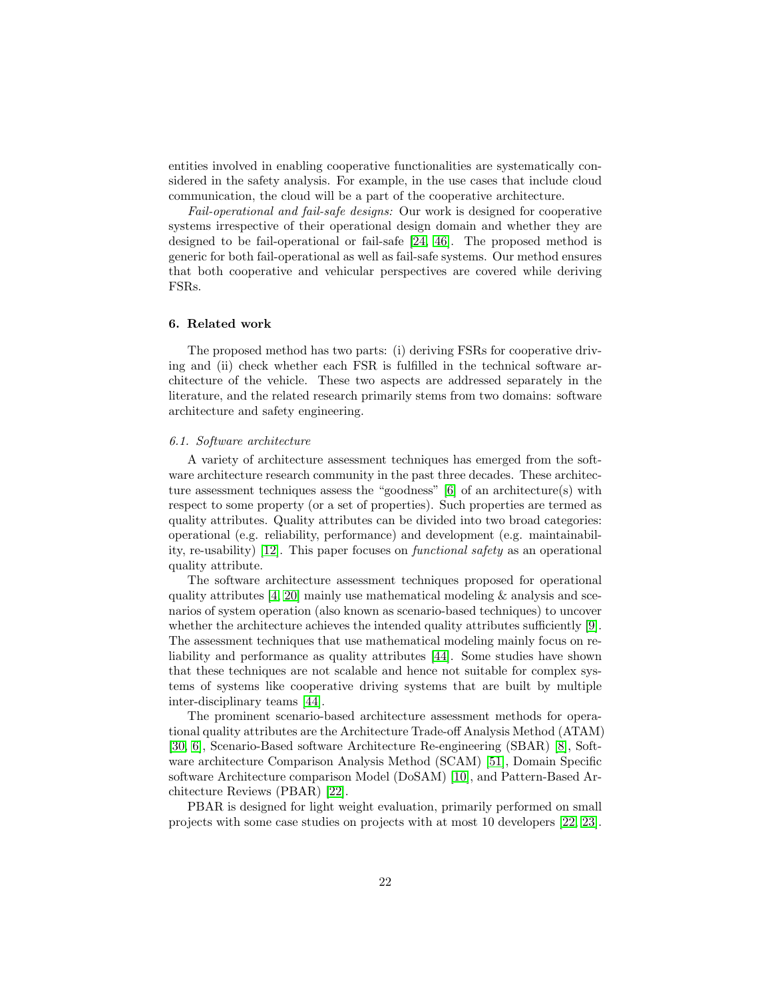entities involved in enabling cooperative functionalities are systematically considered in the safety analysis. For example, in the use cases that include cloud communication, the cloud will be a part of the cooperative architecture.

Fail-operational and fail-safe designs: Our work is designed for cooperative systems irrespective of their operational design domain and whether they are designed to be fail-operational or fail-safe [\[24,](#page-26-10) [46\]](#page-28-11). The proposed method is generic for both fail-operational as well as fail-safe systems. Our method ensures that both cooperative and vehicular perspectives are covered while deriving FSRs.

## <span id="page-21-0"></span>6. Related work

The proposed method has two parts: (i) deriving FSRs for cooperative driving and (ii) check whether each FSR is fulfilled in the technical software architecture of the vehicle. These two aspects are addressed separately in the literature, and the related research primarily stems from two domains: software architecture and safety engineering.

#### 6.1. Software architecture

A variety of architecture assessment techniques has emerged from the software architecture research community in the past three decades. These architecture assessment techniques assess the "goodness" [\[6\]](#page-25-2) of an architecture(s) with respect to some property (or a set of properties). Such properties are termed as quality attributes. Quality attributes can be divided into two broad categories: operational (e.g. reliability, performance) and development (e.g. maintainability, re-usability) [\[12\]](#page-26-4). This paper focuses on functional safety as an operational quality attribute.

The software architecture assessment techniques proposed for operational quality attributes  $[4, 20]$  $[4, 20]$  mainly use mathematical modeling  $\&$  analysis and scenarios of system operation (also known as scenario-based techniques) to uncover whether the architecture achieves the intended quality attributes sufficiently [\[9\]](#page-25-5). The assessment techniques that use mathematical modeling mainly focus on reliability and performance as quality attributes [\[44\]](#page-28-12). Some studies have shown that these techniques are not scalable and hence not suitable for complex systems of systems like cooperative driving systems that are built by multiple inter-disciplinary teams [\[44\]](#page-28-12).

The prominent scenario-based architecture assessment methods for operational quality attributes are the Architecture Trade-off Analysis Method (ATAM) [\[30,](#page-27-5) [6\]](#page-25-2), Scenario-Based software Architecture Re-engineering (SBAR) [\[8\]](#page-25-3), Software architecture Comparison Analysis Method (SCAM) [\[51\]](#page-28-4), Domain Specific software Architecture comparison Model (DoSAM) [\[10\]](#page-25-4), and Pattern-Based Architecture Reviews (PBAR) [\[22\]](#page-26-3).

PBAR is designed for light weight evaluation, primarily performed on small projects with some case studies on projects with at most 10 developers [\[22,](#page-26-3) [23\]](#page-26-11).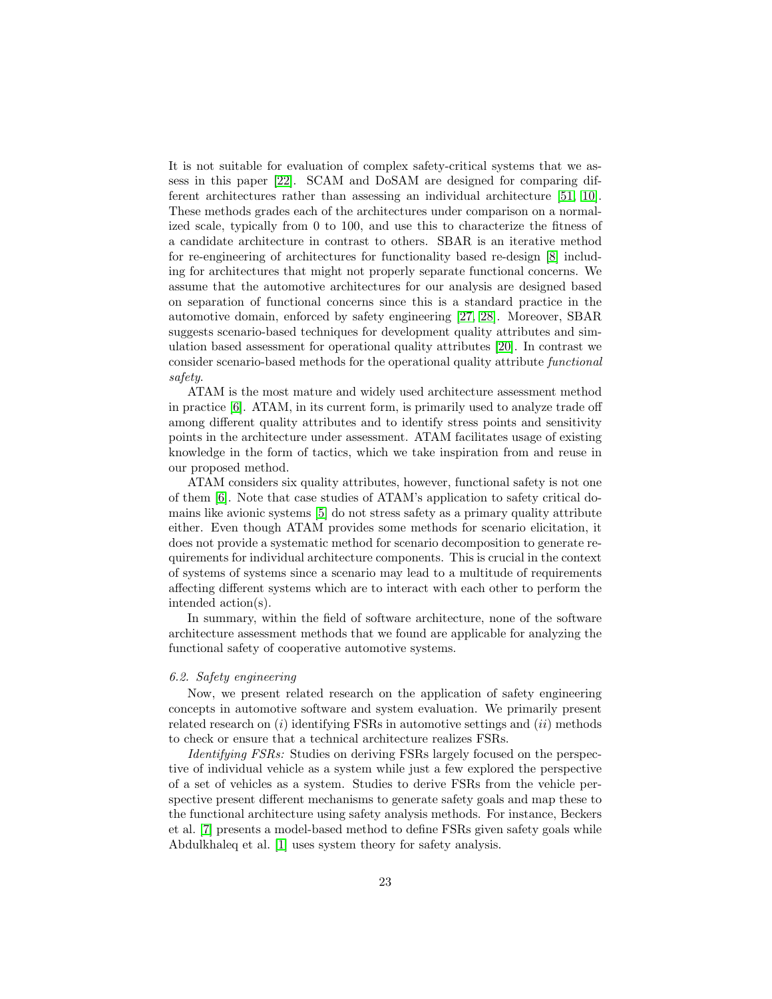It is not suitable for evaluation of complex safety-critical systems that we assess in this paper [\[22\]](#page-26-3). SCAM and DoSAM are designed for comparing different architectures rather than assessing an individual architecture [\[51,](#page-28-4) [10\]](#page-25-4). These methods grades each of the architectures under comparison on a normalized scale, typically from 0 to 100, and use this to characterize the fitness of a candidate architecture in contrast to others. SBAR is an iterative method for re-engineering of architectures for functionality based re-design [\[8\]](#page-25-3) including for architectures that might not properly separate functional concerns. We assume that the automotive architectures for our analysis are designed based on separation of functional concerns since this is a standard practice in the automotive domain, enforced by safety engineering [\[27,](#page-27-10) [28\]](#page-27-1). Moreover, SBAR suggests scenario-based techniques for development quality attributes and simulation based assessment for operational quality attributes [\[20\]](#page-26-2). In contrast we consider scenario-based methods for the operational quality attribute functional safety.

ATAM is the most mature and widely used architecture assessment method in practice [\[6\]](#page-25-2). ATAM, in its current form, is primarily used to analyze trade off among different quality attributes and to identify stress points and sensitivity points in the architecture under assessment. ATAM facilitates usage of existing knowledge in the form of tactics, which we take inspiration from and reuse in our proposed method.

ATAM considers six quality attributes, however, functional safety is not one of them [\[6\]](#page-25-2). Note that case studies of ATAM's application to safety critical domains like avionic systems [\[5\]](#page-25-6) do not stress safety as a primary quality attribute either. Even though ATAM provides some methods for scenario elicitation, it does not provide a systematic method for scenario decomposition to generate requirements for individual architecture components. This is crucial in the context of systems of systems since a scenario may lead to a multitude of requirements affecting different systems which are to interact with each other to perform the intended action(s).

In summary, within the field of software architecture, none of the software architecture assessment methods that we found are applicable for analyzing the functional safety of cooperative automotive systems.

## 6.2. Safety engineering

Now, we present related research on the application of safety engineering concepts in automotive software and system evaluation. We primarily present related research on  $(i)$  identifying FSRs in automotive settings and  $(ii)$  methods to check or ensure that a technical architecture realizes FSRs.

Identifying FSRs: Studies on deriving FSRs largely focused on the perspective of individual vehicle as a system while just a few explored the perspective of a set of vehicles as a system. Studies to derive FSRs from the vehicle perspective present different mechanisms to generate safety goals and map these to the functional architecture using safety analysis methods. For instance, Beckers et al. [\[7\]](#page-25-7) presents a model-based method to define FSRs given safety goals while Abdulkhaleq et al. [\[1\]](#page-25-8) uses system theory for safety analysis.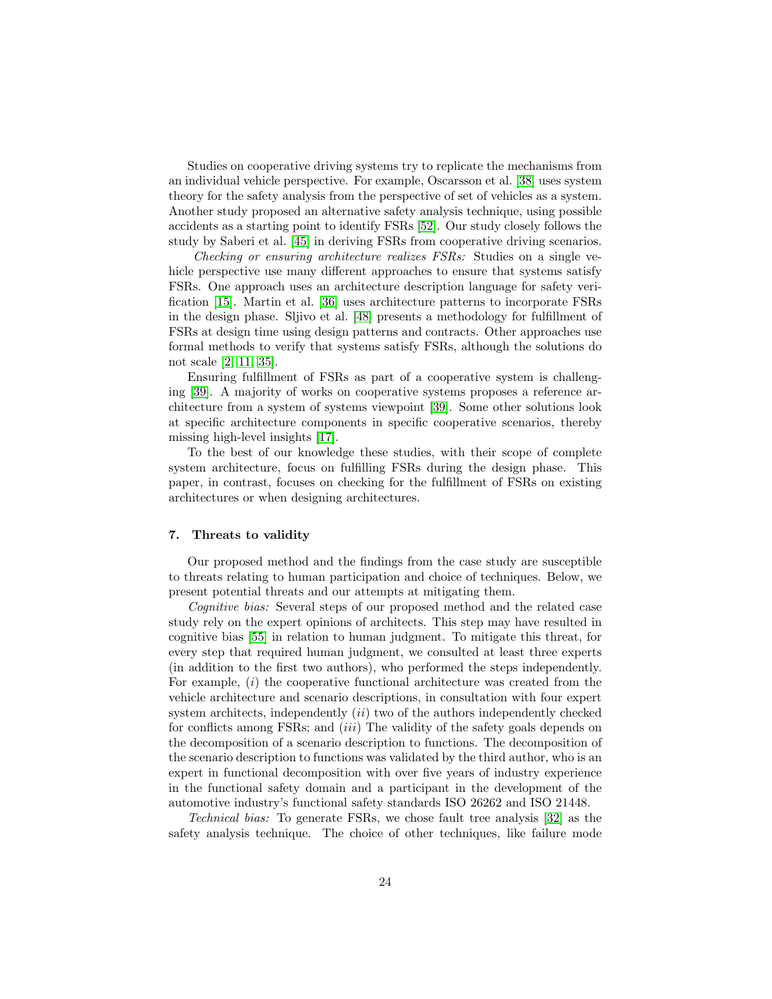Studies on cooperative driving systems try to replicate the mechanisms from an individual vehicle perspective. For example, Oscarsson et al. [\[38\]](#page-27-11) uses system theory for the safety analysis from the perspective of set of vehicles as a system. Another study proposed an alternative safety analysis technique, using possible accidents as a starting point to identify FSRs [\[52\]](#page-28-13). Our study closely follows the study by Saberi et al. [\[45\]](#page-28-3) in deriving FSRs from cooperative driving scenarios.

Checking or ensuring architecture realizes FSRs: Studies on a single vehicle perspective use many different approaches to ensure that systems satisfy FSRs. One approach uses an architecture description language for safety verification [\[15\]](#page-26-12). Martin et al. [\[36\]](#page-27-12) uses architecture patterns to incorporate FSRs in the design phase. Sljivo et al. [\[48\]](#page-28-14) presents a methodology for fulfillment of FSRs at design time using design patterns and contracts. Other approaches use formal methods to verify that systems satisfy FSRs, although the solutions do not scale [\[2,](#page-25-9) [11,](#page-26-13) [35\]](#page-27-13).

Ensuring fulfillment of FSRs as part of a cooperative system is challenging [\[39\]](#page-28-2). A majority of works on cooperative systems proposes a reference architecture from a system of systems viewpoint [\[39\]](#page-28-2). Some other solutions look at specific architecture components in specific cooperative scenarios, thereby missing high-level insights [\[17\]](#page-26-1).

To the best of our knowledge these studies, with their scope of complete system architecture, focus on fulfilling FSRs during the design phase. This paper, in contrast, focuses on checking for the fulfillment of FSRs on existing architectures or when designing architectures.

#### <span id="page-23-0"></span>7. Threats to validity

Our proposed method and the findings from the case study are susceptible to threats relating to human participation and choice of techniques. Below, we present potential threats and our attempts at mitigating them.

Cognitive bias: Several steps of our proposed method and the related case study rely on the expert opinions of architects. This step may have resulted in cognitive bias [\[55\]](#page-29-1) in relation to human judgment. To mitigate this threat, for every step that required human judgment, we consulted at least three experts (in addition to the first two authors), who performed the steps independently. For example,  $(i)$  the cooperative functional architecture was created from the vehicle architecture and scenario descriptions, in consultation with four expert system architects, independently  $(ii)$  two of the authors independently checked for conflicts among FSRs; and (iii) The validity of the safety goals depends on the decomposition of a scenario description to functions. The decomposition of the scenario description to functions was validated by the third author, who is an expert in functional decomposition with over five years of industry experience in the functional safety domain and a participant in the development of the automotive industry's functional safety standards ISO 26262 and ISO 21448.

Technical bias: To generate FSRs, we chose fault tree analysis [\[32\]](#page-27-9) as the safety analysis technique. The choice of other techniques, like failure mode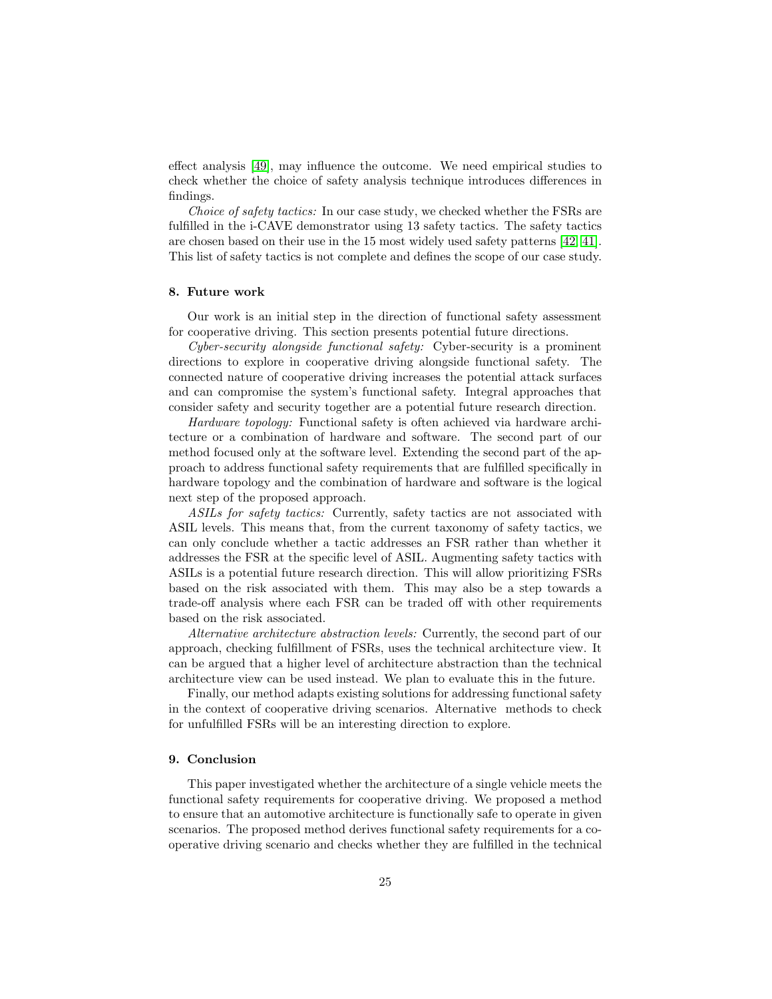effect analysis [\[49\]](#page-28-9), may influence the outcome. We need empirical studies to check whether the choice of safety analysis technique introduces differences in findings.

Choice of safety tactics: In our case study, we checked whether the FSRs are fulfilled in the i-CAVE demonstrator using 13 safety tactics. The safety tactics are chosen based on their use in the 15 most widely used safety patterns [\[42,](#page-28-7) [41\]](#page-28-5). This list of safety tactics is not complete and defines the scope of our case study.

#### <span id="page-24-0"></span>8. Future work

Our work is an initial step in the direction of functional safety assessment for cooperative driving. This section presents potential future directions.

Cyber-security alongside functional safety: Cyber-security is a prominent directions to explore in cooperative driving alongside functional safety. The connected nature of cooperative driving increases the potential attack surfaces and can compromise the system's functional safety. Integral approaches that consider safety and security together are a potential future research direction.

Hardware topology: Functional safety is often achieved via hardware architecture or a combination of hardware and software. The second part of our method focused only at the software level. Extending the second part of the approach to address functional safety requirements that are fulfilled specifically in hardware topology and the combination of hardware and software is the logical next step of the proposed approach.

ASILs for safety tactics: Currently, safety tactics are not associated with ASIL levels. This means that, from the current taxonomy of safety tactics, we can only conclude whether a tactic addresses an FSR rather than whether it addresses the FSR at the specific level of ASIL. Augmenting safety tactics with ASILs is a potential future research direction. This will allow prioritizing FSRs based on the risk associated with them. This may also be a step towards a trade-off analysis where each FSR can be traded off with other requirements based on the risk associated.

Alternative architecture abstraction levels: Currently, the second part of our approach, checking fulfillment of FSRs, uses the technical architecture view. It can be argued that a higher level of architecture abstraction than the technical architecture view can be used instead. We plan to evaluate this in the future.

Finally, our method adapts existing solutions for addressing functional safety in the context of cooperative driving scenarios. Alternative methods to check for unfulfilled FSRs will be an interesting direction to explore.

## <span id="page-24-1"></span>9. Conclusion

This paper investigated whether the architecture of a single vehicle meets the functional safety requirements for cooperative driving. We proposed a method to ensure that an automotive architecture is functionally safe to operate in given scenarios. The proposed method derives functional safety requirements for a cooperative driving scenario and checks whether they are fulfilled in the technical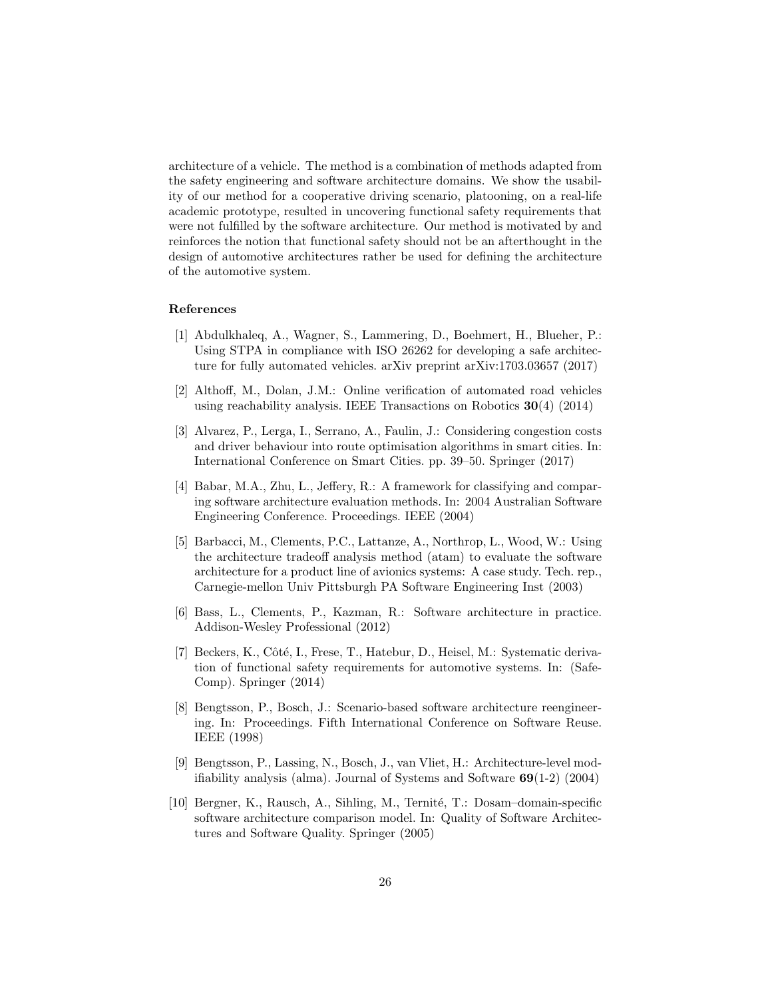architecture of a vehicle. The method is a combination of methods adapted from the safety engineering and software architecture domains. We show the usability of our method for a cooperative driving scenario, platooning, on a real-life academic prototype, resulted in uncovering functional safety requirements that were not fulfilled by the software architecture. Our method is motivated by and reinforces the notion that functional safety should not be an afterthought in the design of automotive architectures rather be used for defining the architecture of the automotive system.

#### References

- <span id="page-25-8"></span>[1] Abdulkhaleq, A., Wagner, S., Lammering, D., Boehmert, H., Blueher, P.: Using STPA in compliance with ISO 26262 for developing a safe architecture for fully automated vehicles. arXiv preprint arXiv:1703.03657 (2017)
- <span id="page-25-9"></span>[2] Althoff, M., Dolan, J.M.: Online verification of automated road vehicles using reachability analysis. IEEE Transactions on Robotics  $30(4)$  (2014)
- <span id="page-25-0"></span>[3] Alvarez, P., Lerga, I., Serrano, A., Faulin, J.: Considering congestion costs and driver behaviour into route optimisation algorithms in smart cities. In: International Conference on Smart Cities. pp. 39–50. Springer (2017)
- <span id="page-25-1"></span>[4] Babar, M.A., Zhu, L., Jeffery, R.: A framework for classifying and comparing software architecture evaluation methods. In: 2004 Australian Software Engineering Conference. Proceedings. IEEE (2004)
- <span id="page-25-6"></span>[5] Barbacci, M., Clements, P.C., Lattanze, A., Northrop, L., Wood, W.: Using the architecture tradeoff analysis method (atam) to evaluate the software architecture for a product line of avionics systems: A case study. Tech. rep., Carnegie-mellon Univ Pittsburgh PA Software Engineering Inst (2003)
- <span id="page-25-2"></span>[6] Bass, L., Clements, P., Kazman, R.: Software architecture in practice. Addison-Wesley Professional (2012)
- <span id="page-25-7"></span>[7] Beckers, K., Côté, I., Frese, T., Hatebur, D., Heisel, M.: Systematic derivation of functional safety requirements for automotive systems. In: (Safe-Comp). Springer (2014)
- <span id="page-25-3"></span>[8] Bengtsson, P., Bosch, J.: Scenario-based software architecture reengineering. In: Proceedings. Fifth International Conference on Software Reuse. IEEE (1998)
- <span id="page-25-5"></span>[9] Bengtsson, P., Lassing, N., Bosch, J., van Vliet, H.: Architecture-level modifiability analysis (alma). Journal of Systems and Software 69(1-2) (2004)
- <span id="page-25-4"></span>[10] Bergner, K., Rausch, A., Sihling, M., Ternité, T.: Dosam-domain-specific software architecture comparison model. In: Quality of Software Architectures and Software Quality. Springer (2005)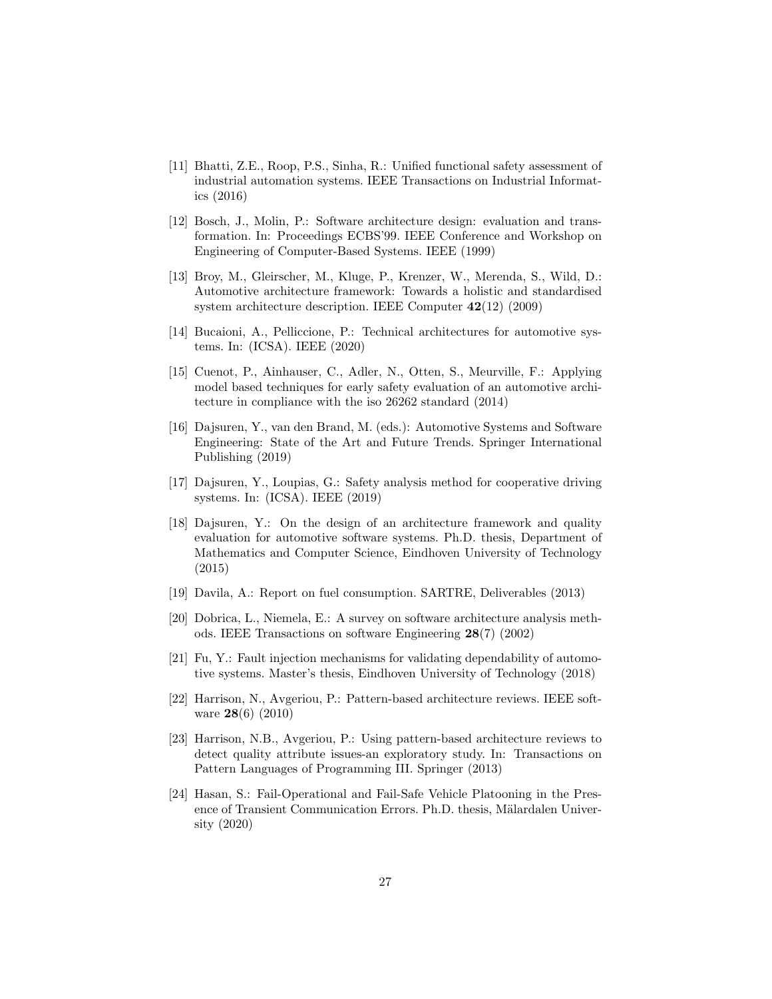- <span id="page-26-13"></span>[11] Bhatti, Z.E., Roop, P.S., Sinha, R.: Unified functional safety assessment of industrial automation systems. IEEE Transactions on Industrial Informatics (2016)
- <span id="page-26-4"></span>[12] Bosch, J., Molin, P.: Software architecture design: evaluation and transformation. In: Proceedings ECBS'99. IEEE Conference and Workshop on Engineering of Computer-Based Systems. IEEE (1999)
- <span id="page-26-5"></span>[13] Broy, M., Gleirscher, M., Kluge, P., Krenzer, W., Merenda, S., Wild, D.: Automotive architecture framework: Towards a holistic and standardised system architecture description. IEEE Computer 42(12) (2009)
- <span id="page-26-6"></span>[14] Bucaioni, A., Pelliccione, P.: Technical architectures for automotive systems. In: (ICSA). IEEE (2020)
- <span id="page-26-12"></span>[15] Cuenot, P., Ainhauser, C., Adler, N., Otten, S., Meurville, F.: Applying model based techniques for early safety evaluation of an automotive architecture in compliance with the iso 26262 standard (2014)
- <span id="page-26-8"></span>[16] Dajsuren, Y., van den Brand, M. (eds.): Automotive Systems and Software Engineering: State of the Art and Future Trends. Springer International Publishing (2019)
- <span id="page-26-1"></span>[17] Dajsuren, Y., Loupias, G.: Safety analysis method for cooperative driving systems. In: (ICSA). IEEE (2019)
- <span id="page-26-7"></span>[18] Dajsuren, Y.: On the design of an architecture framework and quality evaluation for automotive software systems. Ph.D. thesis, Department of Mathematics and Computer Science, Eindhoven University of Technology (2015)
- <span id="page-26-0"></span>[19] Davila, A.: Report on fuel consumption. SARTRE, Deliverables (2013)
- <span id="page-26-2"></span>[20] Dobrica, L., Niemela, E.: A survey on software architecture analysis methods. IEEE Transactions on software Engineering 28(7) (2002)
- <span id="page-26-9"></span>[21] Fu, Y.: Fault injection mechanisms for validating dependability of automotive systems. Master's thesis, Eindhoven University of Technology (2018)
- <span id="page-26-3"></span>[22] Harrison, N., Avgeriou, P.: Pattern-based architecture reviews. IEEE software 28(6) (2010)
- <span id="page-26-11"></span>[23] Harrison, N.B., Avgeriou, P.: Using pattern-based architecture reviews to detect quality attribute issues-an exploratory study. In: Transactions on Pattern Languages of Programming III. Springer (2013)
- <span id="page-26-10"></span>[24] Hasan, S.: Fail-Operational and Fail-Safe Vehicle Platooning in the Presence of Transient Communication Errors. Ph.D. thesis, Mälardalen University (2020)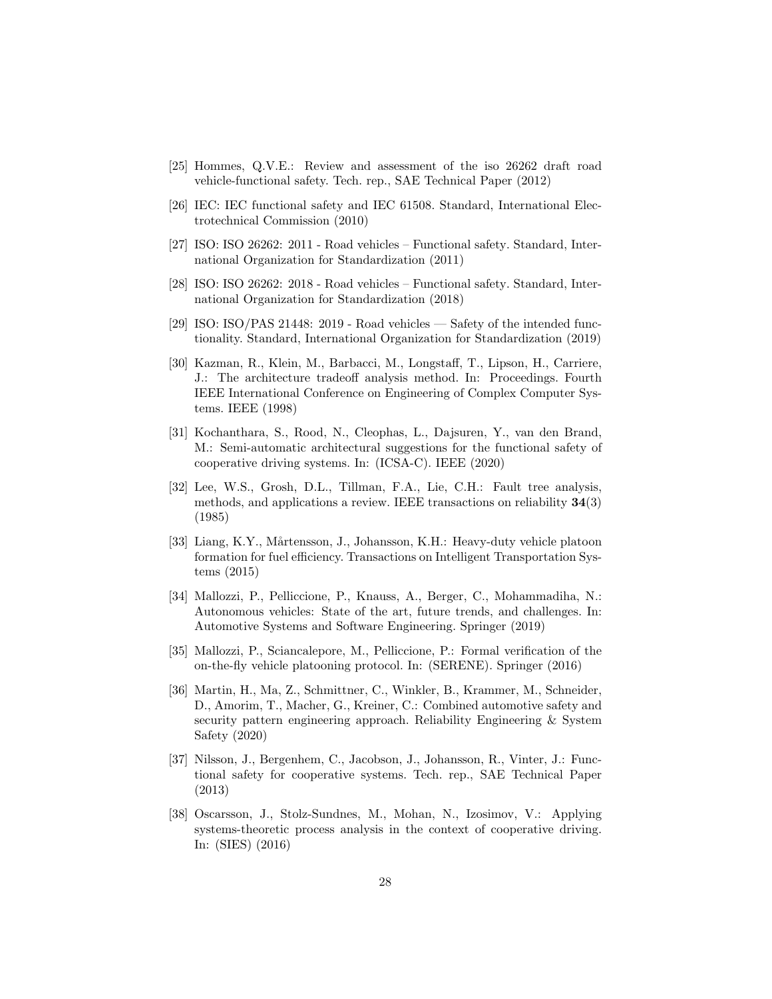- <span id="page-27-8"></span>[25] Hommes, Q.V.E.: Review and assessment of the iso 26262 draft road vehicle-functional safety. Tech. rep., SAE Technical Paper (2012)
- <span id="page-27-7"></span>[26] IEC: IEC functional safety and IEC 61508. Standard, International Electrotechnical Commission (2010)
- <span id="page-27-10"></span>[27] ISO: ISO 26262: 2011 - Road vehicles – Functional safety. Standard, International Organization for Standardization (2011)
- <span id="page-27-1"></span>[28] ISO: ISO 26262: 2018 - Road vehicles – Functional safety. Standard, International Organization for Standardization (2018)
- <span id="page-27-6"></span>[29] ISO: ISO/PAS 21448: 2019 - Road vehicles — Safety of the intended functionality. Standard, International Organization for Standardization (2019)
- <span id="page-27-5"></span>[30] Kazman, R., Klein, M., Barbacci, M., Longstaff, T., Lipson, H., Carriere, J.: The architecture tradeoff analysis method. In: Proceedings. Fourth IEEE International Conference on Engineering of Complex Computer Systems. IEEE (1998)
- <span id="page-27-4"></span>[31] Kochanthara, S., Rood, N., Cleophas, L., Dajsuren, Y., van den Brand, M.: Semi-automatic architectural suggestions for the functional safety of cooperative driving systems. In: (ICSA-C). IEEE (2020)
- <span id="page-27-9"></span>[32] Lee, W.S., Grosh, D.L., Tillman, F.A., Lie, C.H.: Fault tree analysis, methods, and applications a review. IEEE transactions on reliability 34(3) (1985)
- <span id="page-27-0"></span>[33] Liang, K.Y., Mårtensson, J., Johansson, K.H.: Heavy-duty vehicle platoon formation for fuel efficiency. Transactions on Intelligent Transportation Systems (2015)
- <span id="page-27-2"></span>[34] Mallozzi, P., Pelliccione, P., Knauss, A., Berger, C., Mohammadiha, N.: Autonomous vehicles: State of the art, future trends, and challenges. In: Automotive Systems and Software Engineering. Springer (2019)
- <span id="page-27-13"></span>[35] Mallozzi, P., Sciancalepore, M., Pelliccione, P.: Formal verification of the on-the-fly vehicle platooning protocol. In: (SERENE). Springer (2016)
- <span id="page-27-12"></span>[36] Martin, H., Ma, Z., Schmittner, C., Winkler, B., Krammer, M., Schneider, D., Amorim, T., Macher, G., Kreiner, C.: Combined automotive safety and security pattern engineering approach. Reliability Engineering & System Safety (2020)
- <span id="page-27-3"></span>[37] Nilsson, J., Bergenhem, C., Jacobson, J., Johansson, R., Vinter, J.: Functional safety for cooperative systems. Tech. rep., SAE Technical Paper (2013)
- <span id="page-27-11"></span>[38] Oscarsson, J., Stolz-Sundnes, M., Mohan, N., Izosimov, V.: Applying systems-theoretic process analysis in the context of cooperative driving. In: (SIES) (2016)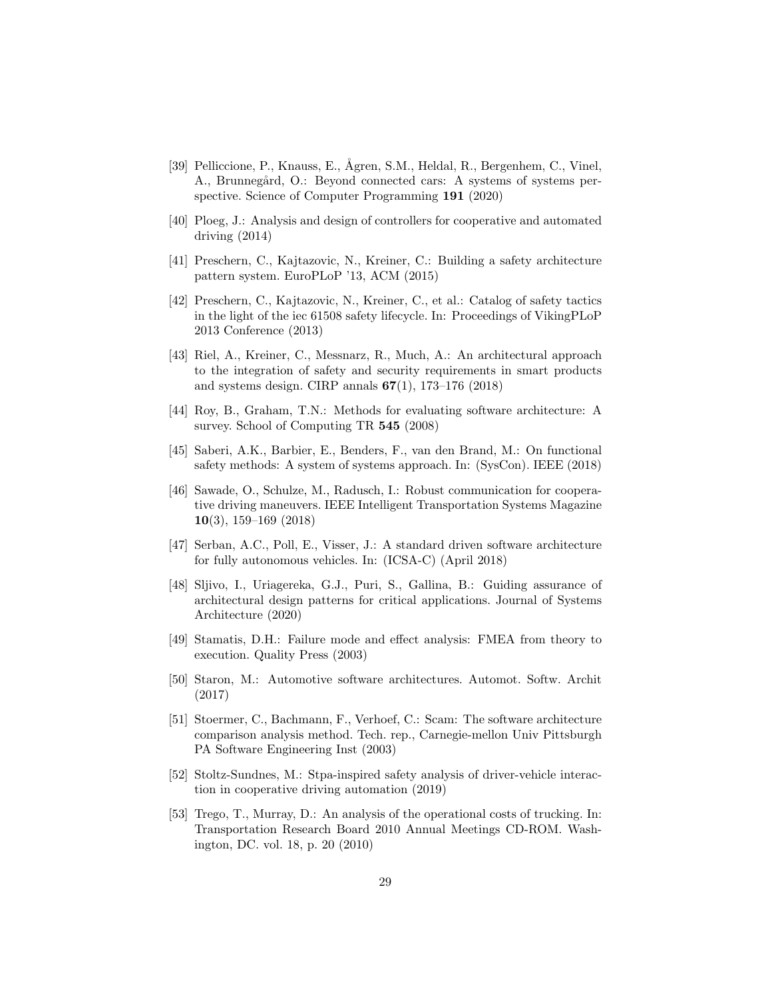- <span id="page-28-2"></span>[39] Pelliccione, P., Knauss, E., Ågren, S.M., Heldal, R., Bergenhem, C., Vinel, A., Brunnegård, O.: Beyond connected cars: A systems of systems perspective. Science of Computer Programming 191 (2020)
- <span id="page-28-1"></span>[40] Ploeg, J.: Analysis and design of controllers for cooperative and automated driving (2014)
- <span id="page-28-5"></span>[41] Preschern, C., Kajtazovic, N., Kreiner, C.: Building a safety architecture pattern system. EuroPLoP '13, ACM (2015)
- <span id="page-28-7"></span>[42] Preschern, C., Kajtazovic, N., Kreiner, C., et al.: Catalog of safety tactics in the light of the iec 61508 safety lifecycle. In: Proceedings of VikingPLoP 2013 Conference (2013)
- <span id="page-28-8"></span>[43] Riel, A., Kreiner, C., Messnarz, R., Much, A.: An architectural approach to the integration of safety and security requirements in smart products and systems design. CIRP annals  $67(1)$ , 173–176 (2018)
- <span id="page-28-12"></span>[44] Roy, B., Graham, T.N.: Methods for evaluating software architecture: A survey. School of Computing TR 545 (2008)
- <span id="page-28-3"></span>[45] Saberi, A.K., Barbier, E., Benders, F., van den Brand, M.: On functional safety methods: A system of systems approach. In: (SysCon). IEEE (2018)
- <span id="page-28-11"></span>[46] Sawade, O., Schulze, M., Radusch, I.: Robust communication for cooperative driving maneuvers. IEEE Intelligent Transportation Systems Magazine 10(3), 159–169 (2018)
- <span id="page-28-10"></span>[47] Serban, A.C., Poll, E., Visser, J.: A standard driven software architecture for fully autonomous vehicles. In: (ICSA-C) (April 2018)
- <span id="page-28-14"></span>[48] Sljivo, I., Uriagereka, G.J., Puri, S., Gallina, B.: Guiding assurance of architectural design patterns for critical applications. Journal of Systems Architecture (2020)
- <span id="page-28-9"></span>[49] Stamatis, D.H.: Failure mode and effect analysis: FMEA from theory to execution. Quality Press (2003)
- <span id="page-28-6"></span>[50] Staron, M.: Automotive software architectures. Automot. Softw. Archit (2017)
- <span id="page-28-4"></span>[51] Stoermer, C., Bachmann, F., Verhoef, C.: Scam: The software architecture comparison analysis method. Tech. rep., Carnegie-mellon Univ Pittsburgh PA Software Engineering Inst (2003)
- <span id="page-28-13"></span>[52] Stoltz-Sundnes, M.: Stpa-inspired safety analysis of driver-vehicle interaction in cooperative driving automation (2019)
- <span id="page-28-0"></span>[53] Trego, T., Murray, D.: An analysis of the operational costs of trucking. In: Transportation Research Board 2010 Annual Meetings CD-ROM. Washington, DC. vol. 18, p. 20 (2010)